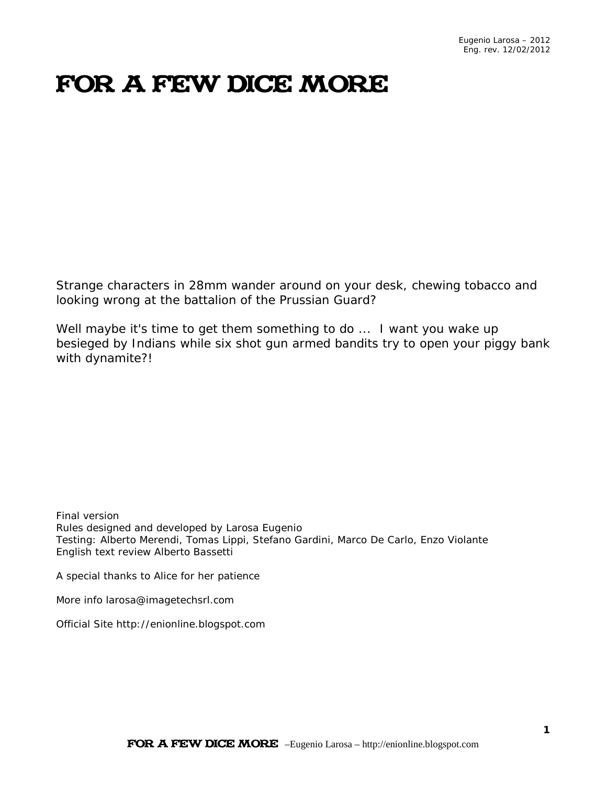# FOR A FEW DICE MORE

Strange characters in 28mm wander around on your desk, chewing tobacco and looking wrong at the battalion of the Prussian Guard?

Well maybe it's time to get them something to do ... I want you wake up besieged by Indians while six shot gun armed bandits try to open your piggy bank with dynamite?!

Final version Rules designed and developed by Larosa Eugenio Testing: Alberto Merendi, Tomas Lippi, Stefano Gardini, Marco De Carlo, Enzo Violante English text review Alberto Bassetti

A special thanks to Alice for her patience

More info larosa@imagetechsrl.com

Official Site http://enionline.blogspot.com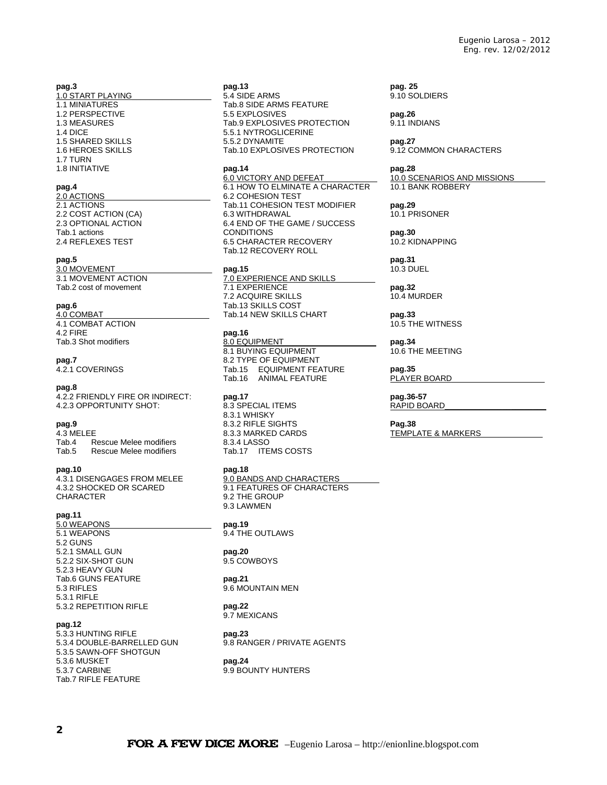#### **pag.3**

1.0 START PLAYING 1.1 MINIATURES 1.2 PERSPECTIVE 1.3 MEASURES 1.4 DICE 1.5 SHARED SKILLS 1.6 HEROES SKILLS 1.7 TURN 1.8 INITIATIVE

#### **pag.4**

2.0 ACTIONS\_\_\_\_\_\_\_\_\_\_\_\_\_\_\_\_\_\_\_\_\_\_\_\_ 2.1 ACTIONS 2.2 COST ACTION (CA) 2.3 OPTIONAL ACTION Tab.1 actions 2.4 REFLEXES TEST

#### **pag.5**

3.0 MOVEMENT\_\_\_\_\_\_\_\_\_\_\_\_\_\_\_\_\_\_\_\_\_\_ 3.1 MOVEMENT ACTION Tab.2 cost of movement

#### **pag.6**

4.0 COMBAT\_\_\_\_\_\_\_\_\_\_\_\_\_\_\_\_\_\_\_\_\_\_\_\_ 4.1 COMBAT ACTION 4.2 FIRE Tab.3 Shot modifiers

#### **pag.7**

4.2.1 COVERINGS

#### **pag.8**

4.2.2 FRIENDLY FIRE OR INDIRECT: 4.2.3 OPPORTUNITY SHOT:

#### **pag.9**

4.3 MELEE<br>Tab.4 R Tab.4 Rescue Melee modifiers<br>Tab.5 Rescue Melee modifiers Rescue Melee modifiers

#### **pag.10**

4.3.1 DISENGAGES FROM MELEE 4.3.2 SHOCKED OR SCARED CHARACTER

#### **pag.11**

5.0 WEAPONS\_\_\_\_\_\_\_\_\_\_\_\_\_\_\_\_\_\_\_\_\_\_\_ 5.1 WEAPONS 5.2 GUNS 5.2.1 SMALL GUN 5.2.2 SIX-SHOT GUN 5.2.3 HEAVY GUN Tab.6 GUNS FEATURE 5.3 RIFLES 5.3.1 RIFLE 5.3.2 REPETITION RIFLE

#### **pag.12**

5.3.3 HUNTING RIFLE 5.3.4 DOUBLE-BARRELLED GUN 5.3.5 SAWN-OFF SHOTGUN 5.3.6 MUSKET 5.3.7 CARBINE Tab.7 RIFLE FEATURE

#### **pag.13**

5.4 SIDE ARMS Tab.8 SIDE ARMS FEATURE 5.5 EXPLOSIVES Tab.9 EXPLOSIVES PROTECTION 5.5.1 NYTROGLICERINE 5.5.2 DYNAMITE Tab.10 EXPLOSIVES PROTECTION

#### **pag.14**

6.0 VICTORY AND DEFEAT\_\_\_\_\_\_\_\_\_\_\_\_ 6.1 HOW TO ELMINATE A CHARACTER 6.2 COHESION TEST Tab.11 COHESION TEST MODIFIER 6.3 WITHDRAWAL 6.4 END OF THE GAME / SUCCESS CONDITIONS 6.5 CHARACTER RECOVERY Tab.12 RECOVERY ROLL

#### **pag.15**

7.0 EXPERIENCE AND SKILLS 7.1 EXPERIENCE 7.2 ACQUIRE SKILLS Tab.13 SKILLS COST Tab.14 NEW SKILLS CHART

#### **pag.16**

8.0 EQUIPMENT 8.1 BUYING EQUIPMENT 8.2 TYPE OF EQUIPMENT Tab.15 EQUIPMENT FEATURE Tab.16 ANIMAL FEATURE

#### **pag.17**

8.3 SPECIAL ITEMS 8.3.1 WHISKY 8.3.2 RIFLE SIGHTS 8.3.3 MARKED CARDS 8.3.4 LASSO Tab.17 ITEMS COSTS

#### **pag.18**

9.0 BANDS AND CHARACTERS 9.1 FEATURES OF CHARACTERS 9.2 THE GROUP 9.3 LAWMEN

**pag.19** 9.4 THE OUTLAWS

#### **pag.20**

9.5 COWBOYS

#### **pag.21**

9.6 MOUNTAIN MEN **pag.22**

# 9.7 MEXICANS

**pag.23** 9.8 RANGER / PRIVATE AGENTS

#### **pag.24** 9.9 BOUNTY HUNTERS

**pag. 25** 9.10 SOLDIERS

**pag.26** 9.11 INDIANS

#### **pag.27** 9.12 COMMON CHARACTERS

#### **pag.28**

10.0 SCENARIOS AND MISSIONS 10.1 BANK ROBBERY

### **pag.29**

10.1 PRISONER

**pag.30** 10.2 KIDNAPPING

#### **pag.31** 10.3 DUEL

**pag.32** 10.4 MURDER

**pag.33** 10.5 THE WITNESS

#### **pag.34** 10.6 THE MEETING

**pag.35** PLAYER BOARD

#### **pag.36-57** RAPID BOARD

**Pag.38**

#### TEMPLATE & MARKERS\_\_\_\_\_\_\_\_\_\_\_\_\_\_

FOR A FEW DICE MORE –Eugenio Larosa – http://enionline.blogspot.com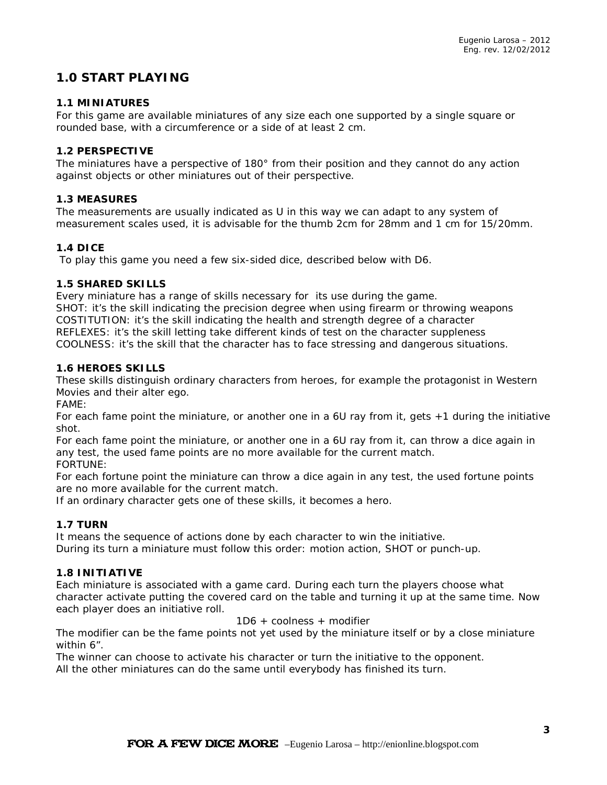# **1.0 START PLAYING**

#### **1.1 MINIATURES**

For this game are available miniatures of any size each one supported by a single square or rounded base, with a circumference or a side of at least 2 cm.

#### **1.2 PERSPECTIVE**

The miniatures have a perspective of 180° from their position and they cannot do any action against objects or other miniatures out of their perspective.

#### **1.3 MEASURES**

The measurements are usually indicated as U in this way we can adapt to any system of measurement scales used, it is advisable for the thumb 2cm for 28mm and 1 cm for 15/20mm.

#### **1.4 DICE**

To play this game you need a few six-sided dice, described below with D6.

#### **1.5 SHARED SKILLS**

Every miniature has a range of skills necessary for its use during the game. SHOT: it's the skill indicating the precision degree when using firearm or throwing weapons COSTITUTION: it's the skill indicating the health and strength degree of a character REFLEXES: it's the skill letting take different kinds of test on the character suppleness COOLNESS: it's the skill that the character has to face stressing and dangerous situations.

#### **1.6 HEROES SKILLS**

These skills distinguish ordinary characters from heroes, for example the protagonist in Western Movies and their alter ego.

FAME:

For each fame point the miniature, or another one in a 6U ray from it, gets +1 during the initiative shot.

For each fame point the miniature, or another one in a 6U ray from it, can throw a dice again in any test, the used fame points are no more available for the current match.

FORTUNE:

For each fortune point the miniature can throw a dice again in any test, the used fortune points are no more available for the current match.

If an ordinary character gets one of these skills, it becomes a hero.

### **1.7 TURN**

It means the sequence of actions done by each character to win the initiative. During its turn a miniature must follow this order: motion action, SHOT or punch-up.

#### **1.8 INITIATIVE**

Each miniature is associated with a game card. During each turn the players choose what character activate putting the covered card on the table and turning it up at the same time. Now each player does an initiative roll.

1D6 + coolness + modifier

The modifier can be the fame points not yet used by the miniature itself or by a close miniature within 6".

The winner can choose to activate his character or turn the initiative to the opponent. All the other miniatures can do the same until everybody has finished its turn.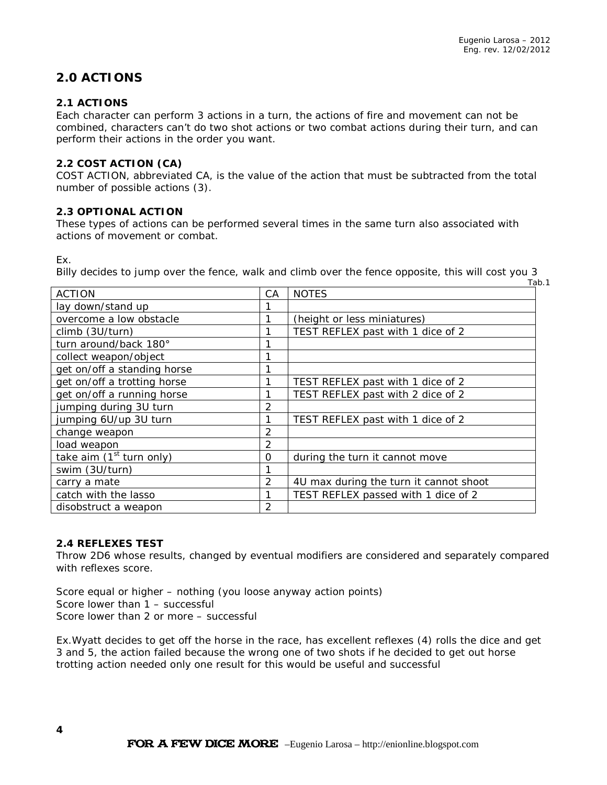# **2.0 ACTIONS**

### **2.1 ACTIONS**

Each character can perform 3 actions in a turn, the actions of fire and movement can not be combined, characters can't do two shot actions or two combat actions during their turn, and can perform their actions in the order you want.

#### **2.2 COST ACTION (CA)**

COST ACTION, abbreviated CA, is the value of the action that must be subtracted from the total number of possible actions (3).

#### **2.3 OPTIONAL ACTION**

These types of actions can be performed several times in the same turn also associated with actions of movement or combat.

#### Ex.

*Billy decides to jump over the fence, walk and climb over the fence opposite, this will cost you 3* Tab.1

| <b>ACTION</b>               | CA             | <b>NOTES</b>                           |
|-----------------------------|----------------|----------------------------------------|
| lay down/stand up           |                |                                        |
| overcome a low obstacle     |                | (height or less miniatures)            |
| climb (3U/turn)             | 1              | TEST REFLEX past with 1 dice of 2      |
| turn around/back 180°       | 1              |                                        |
| collect weapon/object       | 1              |                                        |
| get on/off a standing horse |                |                                        |
| get on/off a trotting horse |                | TEST REFLEX past with 1 dice of 2      |
| get on/off a running horse  |                | TEST REFLEX past with 2 dice of 2      |
| jumping during 3U turn      | 2              |                                        |
| jumping 6U/up 3U turn       |                | TEST REFLEX past with 1 dice of 2      |
| change weapon               | 2              |                                        |
| load weapon                 | 2              |                                        |
| take aim $(1st$ turn only)  | 0              | during the turn it cannot move         |
| swim (3U/turn)              |                |                                        |
| carry a mate                | $\overline{2}$ | 4U max during the turn it cannot shoot |
| catch with the lasso        | 1              | TEST REFLEX passed with 1 dice of 2    |
| disobstruct a weapon        | $\mathcal{P}$  |                                        |

#### **2.4 REFLEXES TEST**

Throw 2D6 whose results, changed by eventual modifiers are considered and separately compared with reflexes score.

Score equal or higher – nothing (you loose anyway action points) Score lower than 1 – successful Score lower than 2 or more – successful

*Ex.Wyatt decides to get off the horse in the race, has excellent reflexes (4) rolls the dice and get 3 and 5, the action failed because the wrong one of two shots if he decided to get out horse trotting action needed only one result for this would be useful and successful*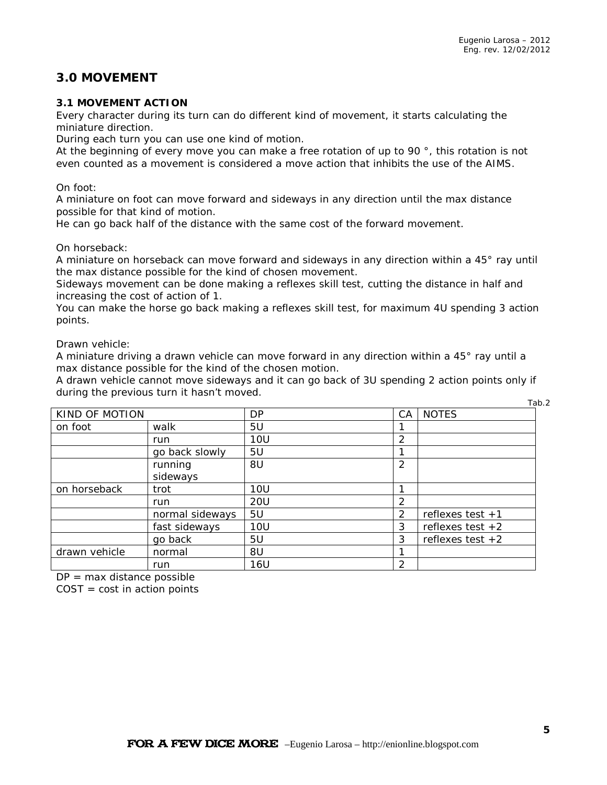# **3.0 MOVEMENT**

### **3.1 MOVEMENT ACTION**

Every character during its turn can do different kind of movement, it starts calculating the miniature direction.

During each turn you can use one kind of motion.

At the beginning of every move you can make a free rotation of up to 90°, this rotation is not even counted as a movement is considered a move action that inhibits the use of the AIMS.

#### On foot:

A miniature on foot can move forward and sideways in any direction until the max distance possible for that kind of motion.

He can go back half of the distance with the same cost of the forward movement.

#### On horseback:

A miniature on horseback can move forward and sideways in any direction within a 45° ray until the max distance possible for the kind of chosen movement.

Sideways movement can be done making a reflexes skill test, cutting the distance in half and increasing the cost of action of 1.

You can make the horse go back making a reflexes skill test, for maximum 4U spending 3 action points.

Drawn vehicle:

A miniature driving a drawn vehicle can move forward in any direction within a 45° ray until a max distance possible for the kind of the chosen motion.

A drawn vehicle cannot move sideways and it can go back of 3U spending 2 action points only if during the previous turn it hasn't moved.

|                |                 |            |                |                    | Tab.2 |
|----------------|-----------------|------------|----------------|--------------------|-------|
| KIND OF MOTION |                 | DP         | CA             | <b>NOTES</b>       |       |
| on foot        | walk            | 5U         |                |                    |       |
|                | run             | <b>10U</b> | $\overline{2}$ |                    |       |
|                | go back slowly  | 5U         | 1              |                    |       |
|                | running         | 8U         | 2              |                    |       |
|                | sideways        |            |                |                    |       |
| on horseback   | trot            | <b>10U</b> | 1              |                    |       |
|                | run             | <b>20U</b> | 2              |                    |       |
|                | normal sideways | 5U         | $\mathcal{P}$  | reflexes test $+1$ |       |
|                | fast sideways   | <b>10U</b> | 3              | reflexes test $+2$ |       |
|                | go back         | 5U         | 3              | reflexes test $+2$ |       |
| drawn vehicle  | normal          | 8U         | 1              |                    |       |
|                | run             | 16U        | 2              |                    |       |

 $DP = max$  distance possible

 $COST = cost$  in action points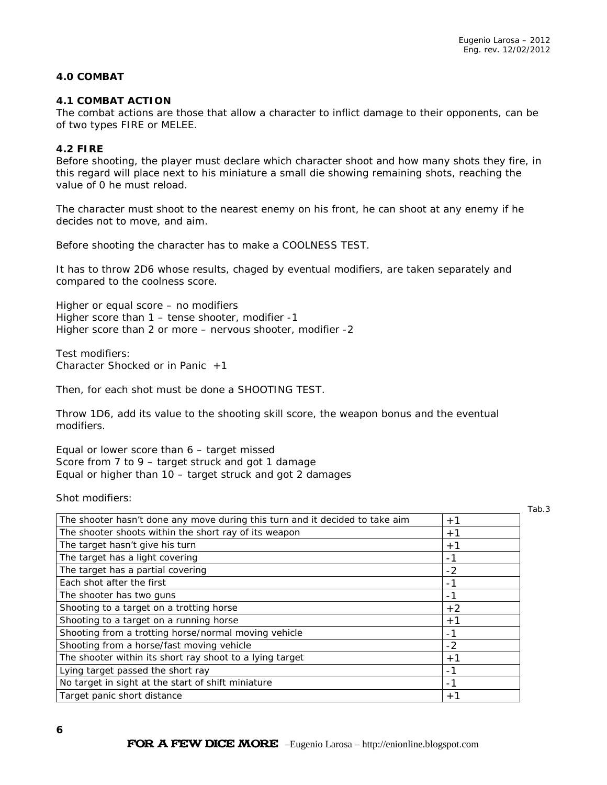#### **4.0 COMBAT**

#### **4.1 COMBAT ACTION**

The combat actions are those that allow a character to inflict damage to their opponents, can be of two types FIRE or MELEE.

#### **4.2 FIRE**

Before shooting, the player must declare which character shoot and how many shots they fire, in this regard will place next to his miniature a small die showing remaining shots, reaching the value of 0 he must reload.

The character must shoot to the nearest enemy on his front, he can shoot at any enemy if he decides not to move, and aim.

Before shooting the character has to make a COOLNESS TEST.

It has to throw 2D6 whose results, chaged by eventual modifiers, are taken separately and compared to the coolness score.

Higher or equal score – no modifiers Higher score than 1 – tense shooter, modifier -1 Higher score than 2 or more – nervous shooter, modifier -2

Test modifiers: Character Shocked or in Panic  $+1$ 

Then, for each shot must be done a SHOOTING TEST.

Throw 1D6, add its value to the shooting skill score, the weapon bonus and the eventual modifiers.

Equal or lower score than 6 – target missed Score from 7 to 9 – target struck and got 1 damage Equal or higher than 10 – target struck and got 2 damages

Shot modifiers:

| . .<br>$\sim$<br>×<br>۰.<br>× |  |
|-------------------------------|--|
|-------------------------------|--|

| The shooter hasn't done any move during this turn and it decided to take aim | $+1$ |
|------------------------------------------------------------------------------|------|
| The shooter shoots within the short ray of its weapon                        | $+1$ |
| The target hasn't give his turn                                              | $+1$ |
| The target has a light covering                                              | - 1  |
| The target has a partial covering                                            | $-2$ |
| Each shot after the first                                                    | - 1  |
| The shooter has two guns                                                     | -1   |
| Shooting to a target on a trotting horse                                     | $+2$ |
| Shooting to a target on a running horse                                      | $+1$ |
| Shooting from a trotting horse/normal moving vehicle                         | $-1$ |
| Shooting from a horse/fast moving vehicle                                    | $-2$ |
| The shooter within its short ray shoot to a lying target                     | $+1$ |
| Lying target passed the short ray                                            | -1   |
| No target in sight at the start of shift miniature                           | - 1  |
| Target panic short distance                                                  | $+1$ |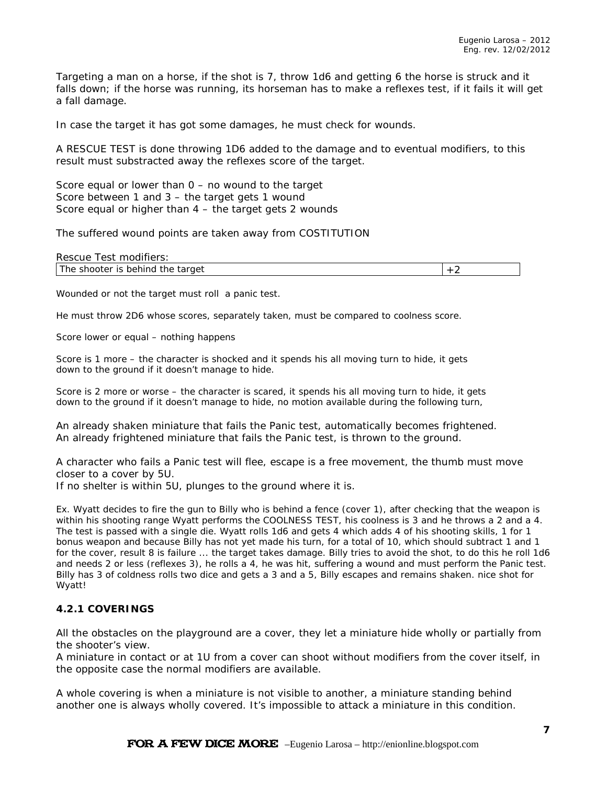Targeting a man on a horse, if the shot is 7, throw 1d6 and getting 6 the horse is struck and it falls down; if the horse was running, its horseman has to make a reflexes test, if it fails it will get a fall damage.

In case the target it has got some damages, he must check for wounds.

A RESCUE TEST is done throwing 1D6 added to the damage and to eventual modifiers, to this result must substracted away the reflexes score of the target.

Score equal or lower than  $0 -$  no wound to the target Score between 1 and 3 – the target gets 1 wound Score equal or higher than 4 – the target gets 2 wounds

The suffered wound points are taken away from COSTITUTION

| Rescue Test modifiers:           |  |
|----------------------------------|--|
| The shooter is behind the target |  |

Wounded or not the target must roll a panic test.

He must throw 2D6 whose scores, separately taken, must be compared to coolness score.

Score lower or equal – nothing happens

Score is 1 more – the character is shocked and it spends his all moving turn to hide, it gets down to the ground if it doesn't manage to hide.

Score is 2 more or worse – the character is scared, it spends his all moving turn to hide, it gets down to the ground if it doesn't manage to hide, no motion available during the following turn,

An already shaken miniature that fails the Panic test, automatically becomes frightened. An already frightened miniature that fails the Panic test, is thrown to the ground.

A character who fails a Panic test will flee, escape is a free movement, the thumb must move closer to a cover by 5U.

If no shelter is within 5U, plunges to the ground where it is.

*Ex. Wyatt decides to fire the gun to Billy who is behind a fence (cover 1), after checking that the weapon is within his shooting range Wyatt performs the COOLNESS TEST, his coolness is 3 and he throws a 2 and a 4. The test is passed with a single die. Wyatt rolls 1d6 and gets 4 which adds 4 of his shooting skills, 1 for 1 bonus weapon and because Billy has not yet made his turn, for a total of 10, which should subtract 1 and 1 for the cover, result 8 is failure ... the target takes damage. Billy tries to avoid the shot, to do this he roll 1d6 and needs 2 or less (reflexes 3), he rolls a 4, he was hit, suffering a wound and must perform the Panic test. Billy has 3 of coldness rolls two dice and gets a 3 and a 5, Billy escapes and remains shaken. nice shot for Wyatt!*

#### **4.2.1 COVERINGS**

All the obstacles on the playground are a cover, they let a miniature hide wholly or partially from the shooter's view.

A miniature in contact or at 1U from a cover can shoot without modifiers from the cover itself, in the opposite case the normal modifiers are available.

A whole covering is when a miniature is not visible to another, a miniature standing behind another one is always wholly covered. It's impossible to attack a miniature in this condition.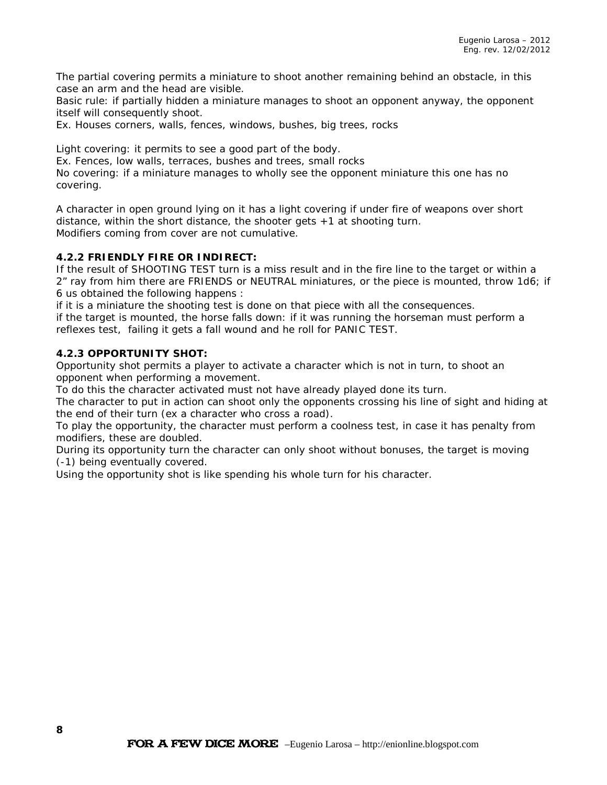The partial covering permits a miniature to shoot another remaining behind an obstacle, in this case an arm and the head are visible.

Basic rule: if partially hidden a miniature manages to shoot an opponent anyway, the opponent itself will consequently shoot.

Ex. Houses corners, walls, fences, windows, bushes, big trees, rocks

Light covering: it permits to see a good part of the body.

Ex. Fences, low walls, terraces, bushes and trees, small rocks

No covering: if a miniature manages to wholly see the opponent miniature this one has no covering.

A character in open ground lying on it has a light covering if under fire of weapons over short distance, within the short distance, the shooter gets +1 at shooting turn. Modifiers coming from cover are not cumulative.

#### **4.2.2 FRIENDLY FIRE OR INDIRECT:**

If the result of SHOOTING TEST turn is a miss result and in the fire line to the target or within a 2" ray from him there are FRIENDS or NEUTRAL miniatures, or the piece is mounted, throw 1d6; if 6 us obtained the following happens :

if it is a miniature the shooting test is done on that piece with all the consequences.

if the target is mounted, the horse falls down: if it was running the horseman must perform a reflexes test, failing it gets a fall wound and he roll for PANIC TEST.

#### **4.2.3 OPPORTUNITY SHOT:**

Opportunity shot permits a player to activate a character which is not in turn, to shoot an opponent when performing a movement.

To do this the character activated must not have already played done its turn.

The character to put in action can shoot only the opponents crossing his line of sight and hiding at the end of their turn (ex a character who cross a road).

To play the opportunity, the character must perform a coolness test, in case it has penalty from modifiers, these are doubled.

During its opportunity turn the character can only shoot without bonuses, the target is moving (-1) being eventually covered.

Using the opportunity shot is like spending his whole turn for his character.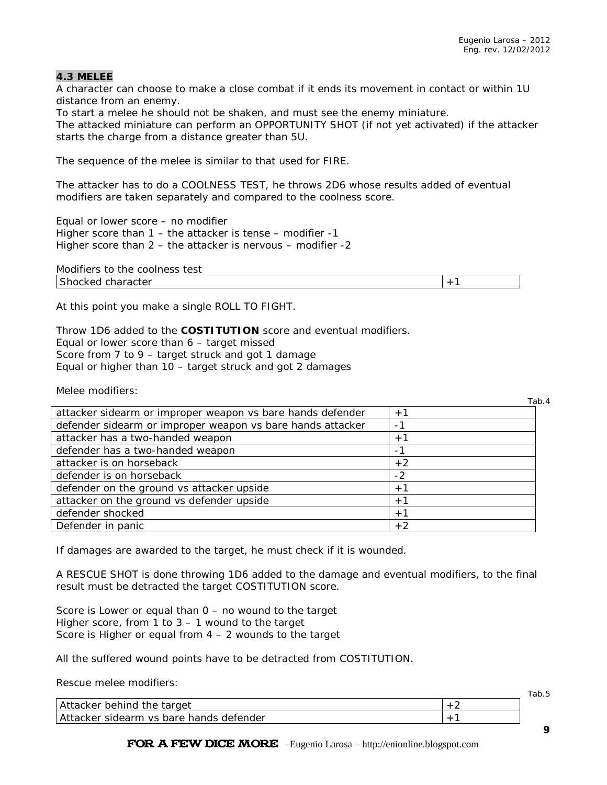### **4.3 MELEE**

A character can choose to make a close combat if it ends its movement in contact or within 1U distance from an enemy.

To start a melee he should not be shaken, and must see the enemy miniature. The attacked miniature can perform an OPPORTUNITY SHOT (if not yet activated) if the attacker starts the charge from a distance greater than 5U.

The sequence of the melee is similar to that used for FIRE.

The attacker has to do a COOLNESS TEST, he throws 2D6 whose results added of eventual modifiers are taken separately and compared to the coolness score.

Equal or lower score – no modifier Higher score than 1 – the attacker is tense – modifier -1 Higher score than 2 – the attacker is nervous – modifier -2

| Modifiers to the coolness<br>test |  |
|-----------------------------------|--|
| Shocked 、<br>character            |  |

At this point you make a single ROLL TO FIGHT.

Throw 1D6 added to the **COSTITUTION** score and eventual modifiers.

Equal or lower score than 6 – target missed

Score from 7 to 9 – target struck and got 1 damage

Equal or higher than 10 – target struck and got 2 damages

Melee modifiers:

|                                                            | Tab.4 |
|------------------------------------------------------------|-------|
| attacker sidearm or improper weapon vs bare hands defender | $+1$  |
| defender sidearm or improper weapon vs bare hands attacker |       |
| attacker has a two-handed weapon                           | $+1$  |
| defender has a two-handed weapon                           | - 1   |
| attacker is on horseback                                   | $+2$  |
| defender is on horseback                                   | $-2$  |
| defender on the ground vs attacker upside                  | $+1$  |
| attacker on the ground vs defender upside                  | $+1$  |
| defender shocked                                           | $+1$  |
| Defender in panic                                          | $+2$  |

If damages are awarded to the target, he must check if it is wounded.

A RESCUE SHOT is done throwing 1D6 added to the damage and eventual modifiers, to the final result must be detracted the target COSTITUTION score.

Score is Lower or equal than 0 – no wound to the target Higher score, from 1 to 3 – 1 wound to the target Score is Higher or equal from  $4 - 2$  wounds to the target

All the suffered wound points have to be detracted from COSTITUTION.

Rescue melee modifiers:

|                                                | rap.o |
|------------------------------------------------|-------|
| A1<br>behind<br>target<br>acker<br>the         |       |
| sidearm vs bare hands<br>, defender<br>acker . |       |

FOR A FEW DICE MORE –Eugenio Larosa – http://enionline.blogspot.com

Tab.5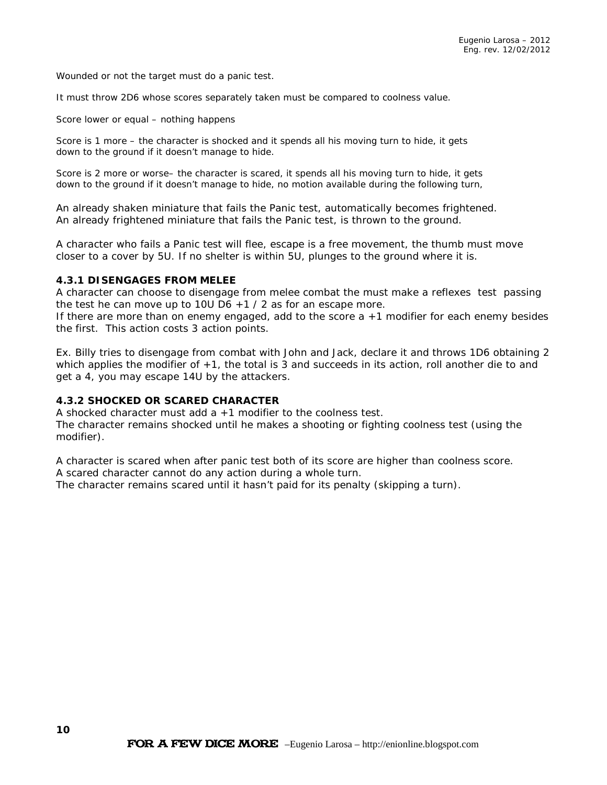Wounded or not the target must do a panic test.

It must throw 2D6 whose scores separately taken must be compared to coolness value.

Score lower or equal – nothing happens

Score is 1 more – the character is shocked and it spends all his moving turn to hide, it gets down to the ground if it doesn't manage to hide.

Score is 2 more or worse– the character is scared, it spends all his moving turn to hide, it gets down to the ground if it doesn't manage to hide, no motion available during the following turn,

An already shaken miniature that fails the Panic test, automatically becomes frightened. An already frightened miniature that fails the Panic test, is thrown to the ground.

A character who fails a Panic test will flee, escape is a free movement, the thumb must move closer to a cover by 5U. If no shelter is within 5U, plunges to the ground where it is.

#### **4.3.1 DISENGAGES FROM MELEE**

A character can choose to disengage from melee combat the must make a reflexes test passing the test he can move up to 10U D6  $+1/2$  as for an escape more.

If there are more than on enemy engaged, add to the score a +1 modifier for each enemy besides the first. This action costs 3 action points.

*Ex. Billy tries to disengage from combat with John and Jack, declare it and throws 1D6 obtaining 2 which applies the modifier of +1, the total is 3 and succeeds in its action, roll another die to and get a 4, you may escape 14U by the attackers.*

#### **4.3.2 SHOCKED OR SCARED CHARACTER**

A shocked character must add a +1 modifier to the coolness test. The character remains shocked until he makes a shooting or fighting coolness test (using the modifier).

A character is scared when after panic test both of its score are higher than coolness score. A scared character cannot do any action during a whole turn.

The character remains scared until it hasn't paid for its penalty (skipping a turn).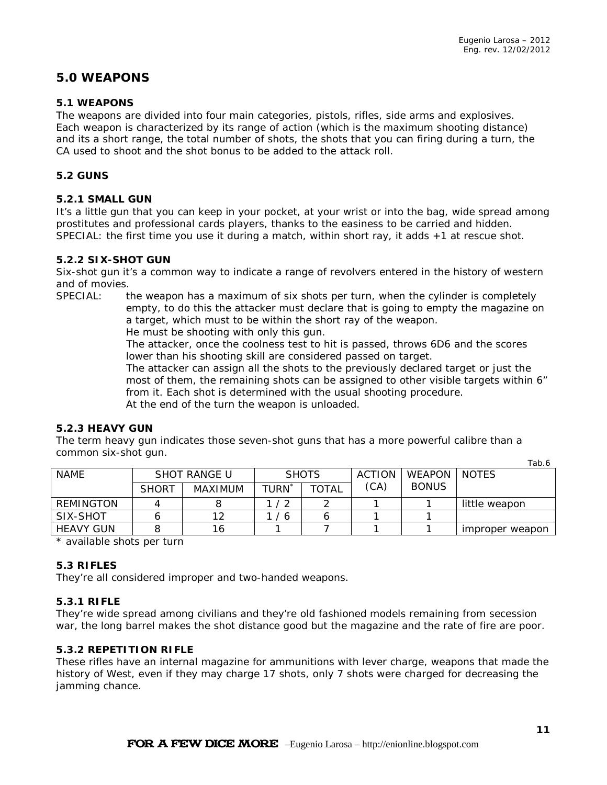## **5.0 WEAPONS**

#### **5.1 WEAPONS**

The weapons are divided into four main categories, pistols, rifles, side arms and explosives. Each weapon is characterized by its range of action (which is the maximum shooting distance) and its a short range, the total number of shots, the shots that you can firing during a turn, the CA used to shoot and the shot bonus to be added to the attack roll.

#### **5.2 GUNS**

#### **5.2.1 SMALL GUN**

It's a little gun that you can keep in your pocket, at your wrist or into the bag, wide spread among prostitutes and professional cards players, thanks to the easiness to be carried and hidden. SPECIAL: the first time you use it during a match, within short ray, it adds +1 at rescue shot.

#### **5.2.2 SIX-SHOT GUN**

Six-shot gun it's a common way to indicate a range of revolvers entered in the history of western and of movies.

SPECIAL: the weapon has a maximum of six shots per turn, when the cylinder is completely empty, to do this the attacker must declare that is going to empty the magazine on a target, which must to be within the short ray of the weapon.

He must be shooting with only this gun.

The attacker, once the coolness test to hit is passed, throws 6D6 and the scores lower than his shooting skill are considered passed on target.

The attacker can assign all the shots to the previously declared target or just the most of them, the remaining shots can be assigned to other visible targets within 6" from it. Each shot is determined with the usual shooting procedure. At the end of the turn the weapon is unloaded.

### **5.2.3 HEAVY GUN**

The term heavy gun indicates those seven-shot guns that has a more powerful calibre than a common six-shot gun.

|                  |              |              |            |              |      |              | i uv. v         |        |              |
|------------------|--------------|--------------|------------|--------------|------|--------------|-----------------|--------|--------------|
| <b>NAME</b>      |              | SHOT RANGE U | SHOTS      |              |      |              | ACTION          | WEAPON | <b>NOTES</b> |
|                  | <b>SHORT</b> | MAXIMUM      | TURN       | <b>TOTAL</b> | (CA) | <b>BONUS</b> |                 |        |              |
| REMINGTON        |              |              | $\sqrt{2}$ |              |      |              | little weapon   |        |              |
| SIX-SHOT         |              | 10           | -6         |              |      |              |                 |        |              |
| <b>HEAVY GUN</b> |              | 16           |            |              |      |              | improper weapon |        |              |
|                  |              |              |            |              |      |              |                 |        |              |

\* available shots per turn

#### **5.3 RIFLES**

They're all considered improper and two-handed weapons.

#### **5.3.1 RIFLE**

They're wide spread among civilians and they're old fashioned models remaining from secession war, the long barrel makes the shot distance good but the magazine and the rate of fire are poor.

#### **5.3.2 REPETITION RIFLE**

These rifles have an internal magazine for ammunitions with lever charge, weapons that made the history of West, even if they may charge 17 shots, only 7 shots were charged for decreasing the jamming chance.

 $T_0h$   $\angle$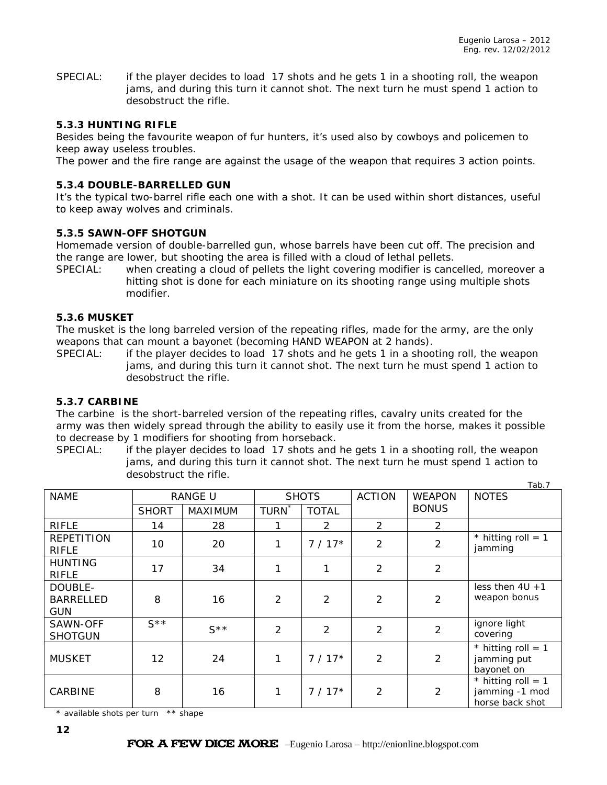SPECIAL: if the player decides to load 17 shots and he gets 1 in a shooting roll, the weapon jams, and during this turn it cannot shot. The next turn he must spend 1 action to desobstruct the rifle.

#### **5.3.3 HUNTING RIFLE**

Besides being the favourite weapon of fur hunters, it's used also by cowboys and policemen to keep away useless troubles.

The power and the fire range are against the usage of the weapon that requires 3 action points.

#### **5.3.4 DOUBLE-BARRELLED GUN**

It's the typical two-barrel rifle each one with a shot. It can be used within short distances, useful to keep away wolves and criminals.

#### **5.3.5 SAWN-OFF SHOTGUN**

Homemade version of double-barrelled gun, whose barrels have been cut off. The precision and the range are lower, but shooting the area is filled with a cloud of lethal pellets.

SPECIAL: when creating a cloud of pellets the light covering modifier is cancelled, moreover a hitting shot is done for each miniature on its shooting range using multiple shots modifier.

#### **5.3.6 MUSKET**

The musket is the long barreled version of the repeating rifles, made for the army, are the only weapons that can mount a bayonet (becoming HAND WEAPON at 2 hands).

SPECIAL: if the player decides to load 17 shots and he gets 1 in a shooting roll, the weapon jams, and during this turn it cannot shot. The next turn he must spend 1 action to desobstruct the rifle.

#### **5.3.7 CARBINE**

The carbine is the short-barreled version of the repeating rifles, cavalry units created for the army was then widely spread through the ability to easily use it from the horse, makes it possible to decrease by 1 modifiers for shooting from horseback.

SPECIAL: if the player decides to load 17 shots and he gets 1 in a shooting roll, the weapon jams, and during this turn it cannot shot. The next turn he must spend 1 action to desobstruct the rifle.  $T<sub>ab</sub>$  7

| <b>NAME</b>                               |                  | <b>RANGE U</b>   | <b>SHOTS</b>      |                | <b>ACTION</b>  | <b>WEAPON</b>  | 100.7<br><b>NOTES</b>                                     |
|-------------------------------------------|------------------|------------------|-------------------|----------------|----------------|----------------|-----------------------------------------------------------|
|                                           | <b>SHORT</b>     | <b>MAXIMUM</b>   | TURN <sup>*</sup> | <b>TOTAL</b>   |                | <b>BONUS</b>   |                                                           |
| <b>RIFLE</b>                              | 14               | 28               |                   | $\overline{2}$ | $\overline{2}$ | $\overline{2}$ |                                                           |
| <b>REPETITION</b><br><b>RIFLE</b>         | 10               | 20               | 1                 | $7/17*$        | $\overline{2}$ | $\overline{2}$ | * hitting roll = $1$<br>jamming                           |
| <b>HUNTING</b><br><b>RIFLE</b>            | 17               | 34               | 1                 | 1              | $\overline{2}$ | $\overline{2}$ |                                                           |
| DOUBLE-<br><b>BARRELLED</b><br><b>GUN</b> | 8                | 16               | 2                 | 2              | 2              | $\overline{2}$ | less then $4U + 1$<br>weapon bonus                        |
| SAWN-OFF<br><b>SHOTGUN</b>                | $S^{\star\star}$ | $S^{\star\star}$ | 2                 | 2              | $\overline{2}$ | $\overline{2}$ | ignore light<br>covering                                  |
| <b>MUSKET</b>                             | 12               | 24               | 1                 | $7/17*$        | $\overline{2}$ | $\overline{2}$ | * hitting roll = $1$<br>jamming put<br>bayonet on         |
| CARBINE                                   | 8                | 16               | 1                 | $7/17*$        | $\overline{2}$ | $\overline{2}$ | * hitting roll = $1$<br>jamming -1 mod<br>horse back shot |

\* available shots per turn \*\* shape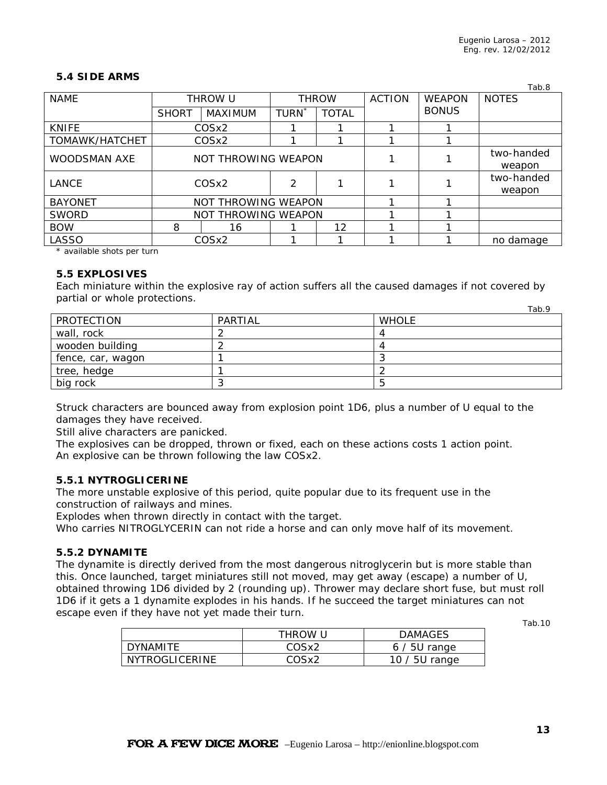#### **5.4 SIDE ARMS**

|                     |              |                     |              |              |               |                      | Tab.8                |
|---------------------|--------------|---------------------|--------------|--------------|---------------|----------------------|----------------------|
| <b>NAME</b>         |              | THROW U             | <b>THROW</b> |              | <b>ACTION</b> | <b>WEAPON</b>        | <b>NOTES</b>         |
|                     | <b>SHORT</b> | MAXIMUM             | <b>TURN</b>  | <b>TOTAL</b> |               | <b>BONUS</b>         |                      |
| <b>KNIFE</b>        |              | COSx2               |              |              |               |                      |                      |
| TOMAWK/HATCHET      |              | COSx2               |              |              |               |                      |                      |
| <b>WOODSMAN AXE</b> |              | NOT THROWING WEAPON |              |              |               | two-handed<br>weapon |                      |
| LANCE               |              | COS <sub>x2</sub>   | 2            |              |               |                      | two-handed<br>weapon |
| <b>BAYONET</b>      |              | NOT THROWING WEAPON |              |              |               |                      |                      |
| <b>SWORD</b>        |              | NOT THROWING WEAPON |              |              |               |                      |                      |
| <b>BOW</b>          | 8            | 16                  |              | 12           |               |                      |                      |
| LASSO               |              | COSx2               |              |              |               |                      | no damage            |

\* available shots per turn

#### **5.5 EXPLOSIVES**

Each miniature within the explosive ray of action suffers all the caused damages if not covered by partial or whole protections. Tah Q

|                   |         | 1 G.V. 7     |
|-------------------|---------|--------------|
| PROTECTION        | PARTIAL | <b>WHOLE</b> |
| wall, rock        |         |              |
| wooden building   |         |              |
| fence, car, wagon |         |              |
| tree, hedge       |         |              |
| big rock          |         |              |

Struck characters are bounced away from explosion point 1D6, plus a number of U equal to the damages they have received.

Still alive characters are panicked.

The explosives can be dropped, thrown or fixed, each on these actions costs 1 action point. An explosive can be thrown following the law COSx2.

#### **5.5.1 NYTROGLICERINE**

The more unstable explosive of this period, quite popular due to its frequent use in the construction of railways and mines.

Explodes when thrown directly in contact with the target.

Who carries NITROGLYCERIN can not ride a horse and can only move half of its movement.

#### **5.5.2 DYNAMITE**

The dynamite is directly derived from the most dangerous nitroglycerin but is more stable than this. Once launched, target miniatures still not moved, may get away (escape) a number of U, obtained throwing 1D6 divided by 2 (rounding up). Thrower may declare short fuse, but must roll 1D6 if it gets a 1 dynamite explodes in his hands. If he succeed the target miniatures can not escape even if they have not yet made their turn. Tab.10

|                | THROW U | <b>DAMAGES</b>  |
|----------------|---------|-----------------|
| DYNAMITE       | COSx2   | $6/5U$ range    |
| NYTROGLICERINE | COSx2   | 10 $/$ 5U range |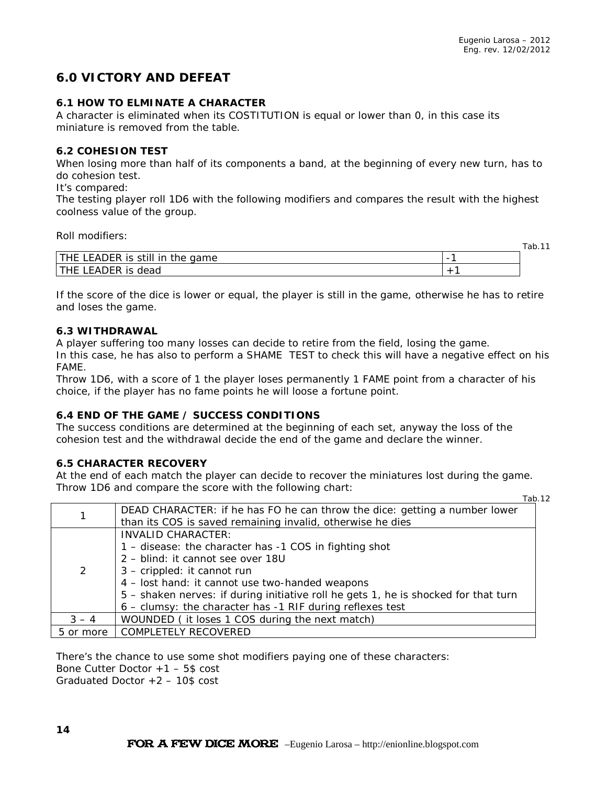Tab.11

# **6.0 VICTORY AND DEFEAT**

### **6.1 HOW TO ELMINATE A CHARACTER**

A character is eliminated when its COSTITUTION is equal or lower than 0, in this case its miniature is removed from the table.

#### **6.2 COHESION TEST**

When losing more than half of its components a band, at the beginning of every new turn, has to do cohesion test.

#### It's compared:

The testing player roll 1D6 with the following modifiers and compares the result with the highest coolness value of the group.

Roll modifiers:

|                                                     |                          | $1$ uv. $1$ |
|-----------------------------------------------------|--------------------------|-------------|
| $\mathsf{L} \Lambda$<br>aame<br>.<br>トレ<br>.ne<br>. | $\overline{\phantom{0}}$ |             |
| dead<br>1 L D<br>$\mathbf{A}$                       |                          |             |

If the score of the dice is lower or equal, the player is still in the game, otherwise he has to retire and loses the game.

#### **6.3 WITHDRAWAL**

A player suffering too many losses can decide to retire from the field, losing the game.

In this case, he has also to perform a SHAME TEST to check this will have a negative effect on his FAME.

Throw 1D6, with a score of 1 the player loses permanently 1 FAME point from a character of his choice, if the player has no fame points he will loose a fortune point.

#### **6.4 END OF THE GAME / SUCCESS CONDITIONS**

The success conditions are determined at the beginning of each set, anyway the loss of the cohesion test and the withdrawal decide the end of the game and declare the winner.

#### **6.5 CHARACTER RECOVERY**

At the end of each match the player can decide to recover the miniatures lost during the game. Throw 1D6 and compare the score with the following chart: Tab.12

|           | DEAD CHARACTER: if he has FO he can throw the dice: getting a number lower          |
|-----------|-------------------------------------------------------------------------------------|
|           | than its COS is saved remaining invalid, otherwise he dies                          |
|           | <b>INVALID CHARACTER:</b>                                                           |
|           | 1 - disease: the character has -1 COS in fighting shot                              |
|           | 2 - blind: it cannot see over 18U                                                   |
| 2         | 3 - crippled: it cannot run                                                         |
|           | 4 - lost hand: it cannot use two-handed weapons                                     |
|           | 5 – shaken nerves: if during initiative roll he gets 1, he is shocked for that turn |
|           | 6 - clumsy: the character has -1 RIF during reflexes test                           |
| $3 - 4$   | WOUNDED (it loses 1 COS during the next match)                                      |
| 5 or more | <b>COMPLETELY RECOVERED</b>                                                         |

There's the chance to use some shot modifiers paying one of these characters:

Bone Cutter Doctor +1 – 5\$ cost

Graduated Doctor +2 – 10\$ cost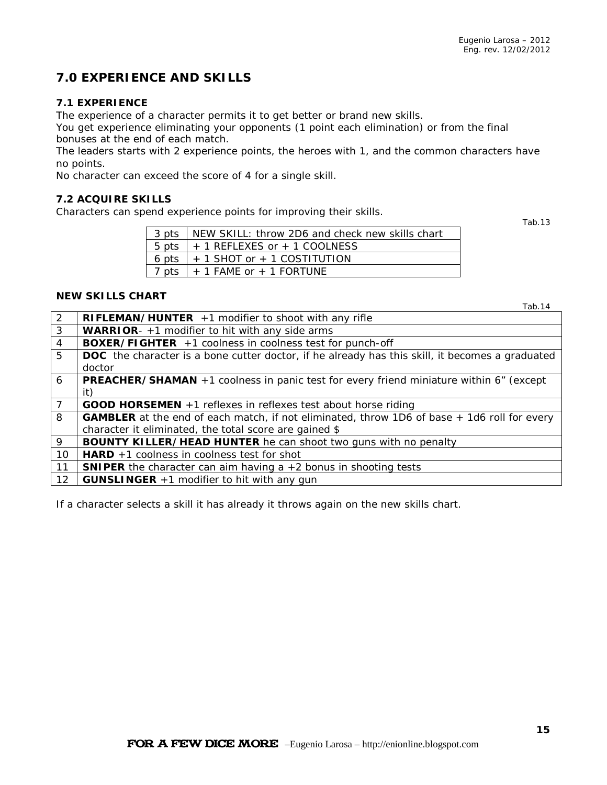# **7.0 EXPERIENCE AND SKILLS**

### **7.1 EXPERIENCE**

The experience of a character permits it to get better or brand new skills.

You get experience eliminating your opponents (1 point each elimination) or from the final bonuses at the end of each match.

The leaders starts with 2 experience points, the heroes with 1, and the common characters have no points.

No character can exceed the score of 4 for a single skill.

#### **7.2 ACQUIRE SKILLS**

Characters can spend experience points for improving their skills.

Tab.13

| 3 pts   NEW SKILL: throw 2D6 and check new skills chart |
|---------------------------------------------------------|
| $5 \text{ pts}$ + 1 REFLEXES or + 1 COOLNESS            |
| 6 pts $\vert$ + 1 SHOT or + 1 COSTITUTION               |
| 7 pts   $+$ 1 FAME or $+$ 1 FORTUNE                     |

#### **NEW SKILLS CHART**

Tab.14

| 2              | <b>RIFLEMAN/HUNTER</b> $+1$ modifier to shoot with any rifle                                       |
|----------------|----------------------------------------------------------------------------------------------------|
| $\mathbf{3}$   | <b>WARRIOR</b> - $+1$ modifier to hit with any side arms                                           |
| $\overline{4}$ | <b>BOXER/FIGHTER</b> $+1$ coolness in coolness test for punch-off                                  |
| 5              | DOC the character is a bone cutter doctor, if he already has this skill, it becomes a graduated    |
|                | doctor                                                                                             |
| 6              | <b>PREACHER/SHAMAN</b> +1 coolness in panic test for every friend miniature within 6" (except      |
|                | it)                                                                                                |
| $\overline{7}$ | <b>GOOD HORSEMEN</b> $+1$ reflexes in reflexes test about horse riding                             |
| 8              | <b>GAMBLER</b> at the end of each match, if not eliminated, throw 1D6 of base + 1d6 roll for every |
|                | character it eliminated, the total score are gained \$                                             |
| 9              | <b>BOUNTY KILLER/HEAD HUNTER</b> he can shoot two guns with no penalty                             |
| $10^{-}$       | <b>HARD</b> $+1$ coolness in coolness test for shot                                                |
| 11             | <b>SNIPER</b> the character can aim having $a + 2$ bonus in shooting tests                         |
| 12             | <b>GUNSLINGER</b> $+1$ modifier to hit with any gun                                                |

If a character selects a skill it has already it throws again on the new skills chart.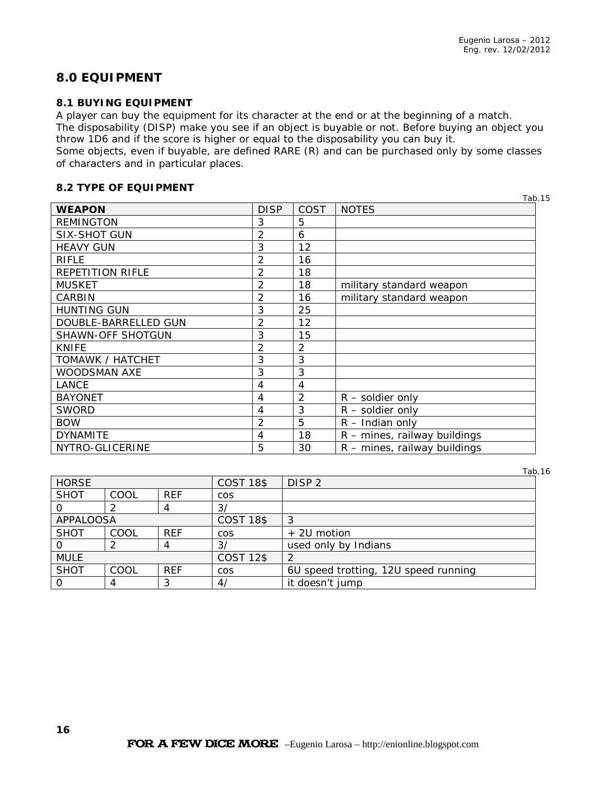# **8.0 EQUIPMENT**

#### **8.1 BUYING EQUIPMENT**

A player can buy the equipment for its character at the end or at the beginning of a match. The disposability (DISP) make you see if an object is buyable or not. Before buying an object you

throw 1D6 and if the score is higher or equal to the disposability you can buy it.

Some objects, even if buyable, are defined RARE (R) and can be purchased only by some classes of characters and in particular places.

### **8.2 TYPE OF EQUIPMENT**

|                          |                |                | Tab.15                         |
|--------------------------|----------------|----------------|--------------------------------|
| <b>WEAPON</b>            | <b>DISP</b>    | COST           | <b>NOTES</b>                   |
| <b>REMINGTON</b>         | 3              | 5              |                                |
| <b>SIX-SHOT GUN</b>      | 2              | 6              |                                |
| <b>HEAVY GUN</b>         | 3              | 12             |                                |
| <b>RIFLE</b>             | $\overline{2}$ | 16             |                                |
| <b>REPETITION RIFLE</b>  | 2              | 18             |                                |
| <b>MUSKET</b>            | 2              | 18             | military standard weapon       |
| CARBIN                   | 2              | 16             | military standard weapon       |
| <b>HUNTING GUN</b>       | 3              | 25             |                                |
| DOUBLE-BARRELLED GUN     | 2              | 12             |                                |
| <b>SHAWN-OFF SHOTGUN</b> | 3              | 15             |                                |
| <b>KNIFE</b>             | 2              | 2              |                                |
| TOMAWK / HATCHET         | 3              | 3              |                                |
| WOODSMAN AXE             | 3              | 3              |                                |
| LANCE                    | 4              | 4              |                                |
| <b>BAYONET</b>           | 4              | $\mathfrak{D}$ | $R$ – soldier only             |
| <b>SWORD</b>             | 4              | 3              | $R$ – soldier only             |
| <b>BOW</b>               | 2              | 5              | $R$ – Indian only              |
| <b>DYNAMITE</b>          | 4              | 18             | R - mines, railway buildings   |
| NYTRO-GLICERINE          | 5              | 30             | $R$ – mines, railway buildings |

Tab.16

| <b>HORSE</b>     |      |            | <b>COST 18\$</b> | DISP <sub>2</sub>                    |
|------------------|------|------------|------------------|--------------------------------------|
| <b>SHOT</b>      | COOL | <b>REF</b> | <b>COS</b>       |                                      |
|                  |      |            | $\frac{3}{3}$    |                                      |
| <b>APPALOOSA</b> |      |            | <b>COST 18\$</b> | 3                                    |
| <b>SHOT</b>      | COOL | <b>REF</b> | <b>COS</b>       | + 2U motion                          |
|                  |      |            | $\frac{3}{3}$    | used only by Indians                 |
| <b>MULE</b>      |      |            | <b>COST 12\$</b> |                                      |
| <b>SHOT</b>      | COOL | <b>REF</b> | <b>COS</b>       | 6U speed trotting, 12U speed running |
|                  |      |            | 4/               | it doesn't jump                      |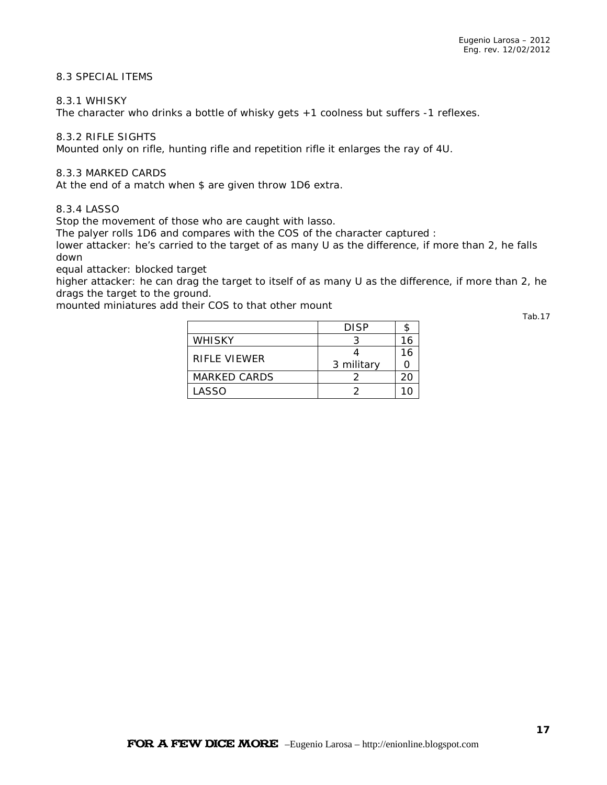### 8.3 SPECIAL ITEMS

#### 8.3.1 WHISKY

The character who drinks a bottle of whisky gets +1 coolness but suffers -1 reflexes.

#### 8.3.2 RIFLE SIGHTS

Mounted only on rifle, hunting rifle and repetition rifle it enlarges the ray of 4U.

#### 8.3.3 MARKED CARDS

At the end of a match when \$ are given throw 1D6 extra.

#### 8.3.4 LASSO

Stop the movement of those who are caught with lasso.

The palyer rolls 1D6 and compares with the COS of the character captured :

lower attacker: he's carried to the target of as many U as the difference, if more than 2, he falls down

equal attacker: blocked target

higher attacker: he can drag the target to itself of as many U as the difference, if more than 2, he drags the target to the ground.

mounted miniatures add their COS to that other mount

|               | <b>DISP</b> |    |
|---------------|-------------|----|
| <b>WHISKY</b> |             |    |
| RIFLE VIEWER  |             | 16 |
|               | 3 military  |    |
| MARKED CARDS  |             | 20 |
| LASSO         |             |    |

Tab.17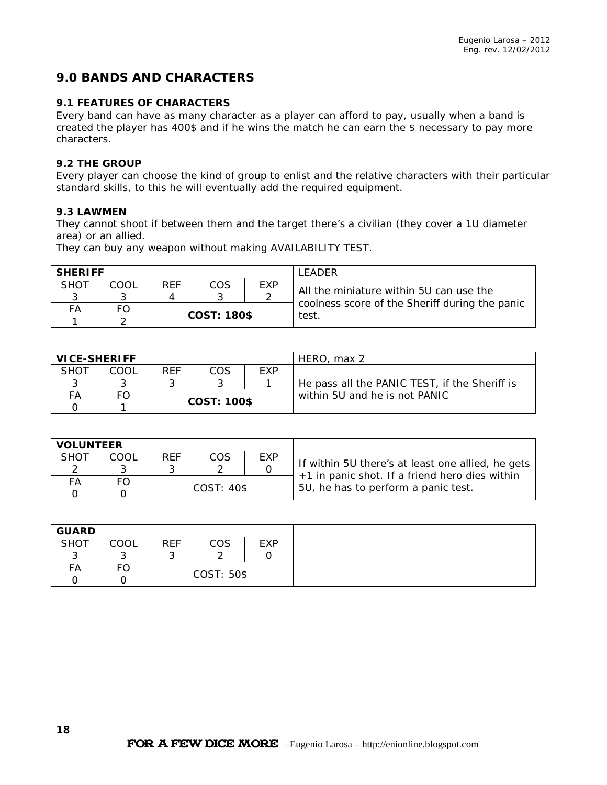# **9.0 BANDS AND CHARACTERS**

### **9.1 FEATURES OF CHARACTERS**

Every band can have as many character as a player can afford to pay, usually when a band is created the player has 400\$ and if he wins the match he can earn the \$ necessary to pay more characters.

### **9.2 THE GROUP**

Every player can choose the kind of group to enlist and the relative characters with their particular standard skills, to this he will eventually add the required equipment.

#### **9.3 LAWMEN**

They cannot shoot if between them and the target there's a civilian (they cover a 1U diameter area) or an allied.

They can buy any weapon without making AVAILABILITY TEST.

| <b>SHERIFF</b> |      |     |             |     | <b>I FADFR</b>                                          |
|----------------|------|-----|-------------|-----|---------------------------------------------------------|
| SHOT           | COOL | REF | <b>COS</b>  | EXP | All the miniature within 5U can use the                 |
| FA             | FO   |     | COST: 180\$ |     | coolness score of the Sheriff during the panic<br>test. |

| <b>VICE-SHERIFF</b> |      |            |             |     | HERO, max 2                                   |
|---------------------|------|------------|-------------|-----|-----------------------------------------------|
| <b>SHOT</b>         | COOL | <b>RFF</b> | COS         | EXP |                                               |
|                     |      |            |             |     | He pass all the PANIC TEST, if the Sheriff is |
| FА                  |      |            |             |     | within 5U and he is not PANIC                 |
|                     |      |            | COST: 100\$ |     |                                               |

| <b>VOLUNTEER</b> |      |            |               |     |                                                                                                     |
|------------------|------|------------|---------------|-----|-----------------------------------------------------------------------------------------------------|
| <b>SHOT</b>      | COOL | <b>REF</b> | COS           | EXP |                                                                                                     |
|                  |      |            |               |     | If within 5U there's at least one allied, he gets<br>+1 in panic shot. If a friend hero dies within |
| FА               |      |            |               |     |                                                                                                     |
|                  |      |            | $COST: 40$ \$ |     | 5U, he has to perform a panic test.                                                                 |

| <b>GUARD</b> |      |            |            |            |
|--------------|------|------------|------------|------------|
| <b>SHOT</b>  | COOL | <b>REF</b> | COS        | <b>EXP</b> |
|              |      |            |            |            |
| FA           | FO   |            |            |            |
|              |      |            | COST: 50\$ |            |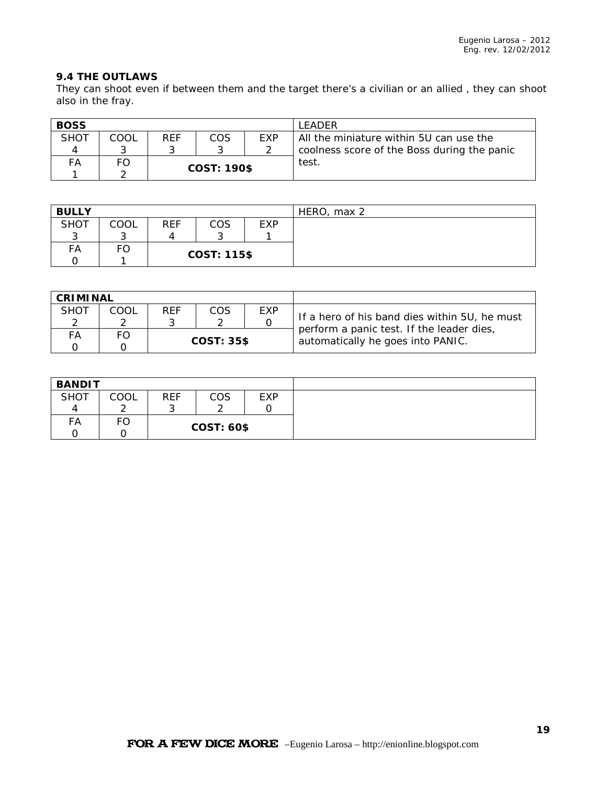### **9.4 THE OUTLAWS**

They can shoot even if between them and the target there's a civilian or an allied , they can shoot also in the fray.

| <b>BOSS</b> |      |     |                    |            | I FADFR                                     |
|-------------|------|-----|--------------------|------------|---------------------------------------------|
| <b>SHOT</b> | COOL | RFF | COS                | <b>FXP</b> | All the miniature within 5U can use the     |
|             |      |     |                    |            | coolness score of the Boss during the panic |
| FA          | FO   |     |                    |            | test                                        |
|             |      |     | <b>COST: 190\$</b> |            |                                             |

| <b>BULLY</b> |      |            |                    |            | HERO, max 2 |
|--------------|------|------------|--------------------|------------|-------------|
| <b>SHOT</b>  | COOL | <b>REF</b> | COS                | <b>EXP</b> |             |
|              |      | 4          |                    |            |             |
| FA           | ∸ບ-  |            |                    |            |             |
|              |      |            | <b>COST: 115\$</b> |            |             |

| <b>CRIMINAL</b> |      |     |               |     |                                                                                            |
|-----------------|------|-----|---------------|-----|--------------------------------------------------------------------------------------------|
| <b>SHOT</b>     | COOL | REF | COS           | EXP |                                                                                            |
|                 |      |     |               |     | If a hero of his band dies within 5U, he must<br>perform a panic test. If the leader dies, |
| FА              |      |     |               |     |                                                                                            |
|                 |      |     | $COST: 35$ \$ |     | automatically he goes into PANIC.                                                          |

| <b>BANDIT</b> |      |            |                   |     |  |  |
|---------------|------|------------|-------------------|-----|--|--|
| <b>SHOT</b>   | COOL | <b>REF</b> | COS               | EXP |  |  |
|               | ⌒    | ີ          |                   |     |  |  |
| FА            | FO   |            | <b>COST: 60\$</b> |     |  |  |
|               |      |            |                   |     |  |  |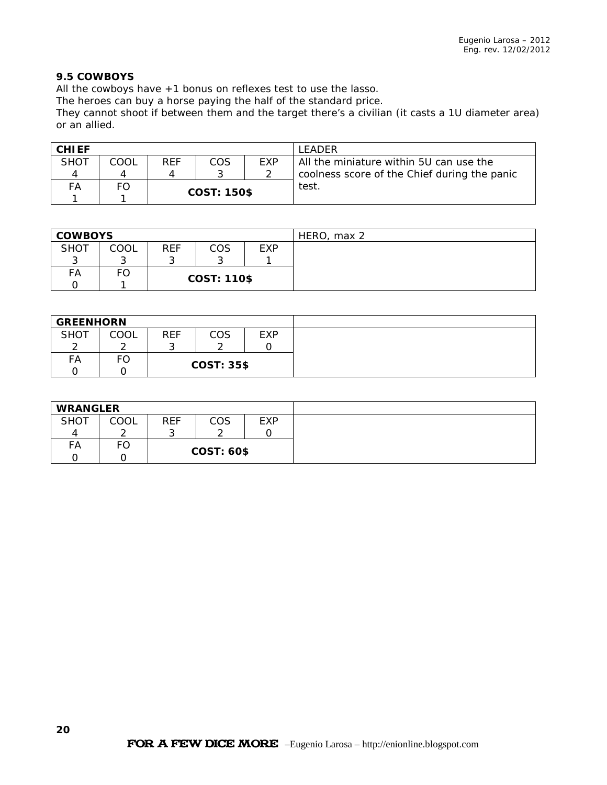### **9.5 COWBOYS**

All the cowboys have +1 bonus on reflexes test to use the lasso.

The heroes can buy a horse paying the half of the standard price.

They cannot shoot if between them and the target there's a civilian (it casts a 1U diameter area) or an allied.

| <b>CHIEF</b> |      |            |                    |            | LEADER                                       |
|--------------|------|------------|--------------------|------------|----------------------------------------------|
| <b>SHOT</b>  | COOL | <b>REF</b> | COS                | <b>EXP</b> | All the miniature within 5U can use the      |
|              |      |            |                    |            | coolness score of the Chief during the panic |
| FА           | FO   |            |                    |            | test                                         |
|              |      |            | <b>COST: 150\$</b> |            |                                              |

| <b>COWBOYS</b> |      |            |                    |     | HERO,<br>max <sub>2</sub> |
|----------------|------|------------|--------------------|-----|---------------------------|
| <b>SHOT</b>    | COOL | <b>REF</b> | COS                | EXP |                           |
| ⌒              | ⌒    | ⌒          |                    |     |                           |
| FA             | ۴C   |            |                    |     |                           |
|                |      |            | <b>COST: 110\$</b> |     |                           |

| <b>GREENHORN</b> |      |            |                   |     |
|------------------|------|------------|-------------------|-----|
| <b>SHOT</b>      | COOL | <b>REF</b> | COS               | EXP |
| ⌒                | ⌒    |            | ⌒                 |     |
| FA               | FO   |            |                   |     |
|                  |      |            | <b>COST: 35\$</b> |     |

| <b>WRANGLER</b> |      |            |                   |     |  |
|-----------------|------|------------|-------------------|-----|--|
| <b>SHOT</b>     | COOL | <b>REF</b> | COS               | EXP |  |
| Д               |      |            |                   |     |  |
| FA              | гч   |            | <b>COST: 60\$</b> |     |  |
|                 |      |            |                   |     |  |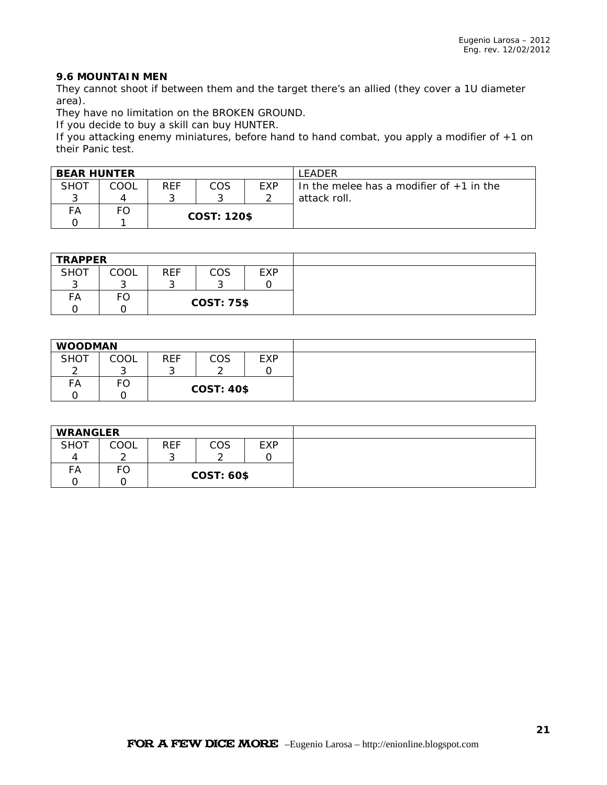### **9.6 MOUNTAIN MEN**

They cannot shoot if between them and the target there's an allied (they cover a 1U diameter area).

They have no limitation on the BROKEN GROUND.

If you decide to buy a skill can buy HUNTER.

If you attacking enemy miniatures, before hand to hand combat, you apply a modifier of +1 on their Panic test.

| <b>BEAR HUNTER</b> |      |            |                    |            | LEADER                                     |
|--------------------|------|------------|--------------------|------------|--------------------------------------------|
| SHOT               | COOL | <b>REF</b> | COS                | <b>FXP</b> | In the melee has a modifier of $+1$ in the |
|                    |      |            |                    |            | attack roll.                               |
| FA                 |      |            |                    |            |                                            |
|                    |      |            | <b>COST: 120\$</b> |            |                                            |

| <b>TRAPPER</b> |      |            |                   |            |  |
|----------------|------|------------|-------------------|------------|--|
| <b>SHOT</b>    | COOL | <b>REF</b> | <b>COS</b>        | <b>EXP</b> |  |
|                | ⌒    |            |                   |            |  |
| FA             | FC   |            | <b>COST: 75\$</b> |            |  |
|                |      |            |                   |            |  |

| <b>WOODMAN</b> |      |            |                   |            |  |
|----------------|------|------------|-------------------|------------|--|
| <b>SHOT</b>    | COOL | <b>REF</b> | COS               | <b>EXP</b> |  |
| $\sim$         |      | ⌒          |                   |            |  |
| FA             | ∟    |            |                   |            |  |
|                |      |            | <b>COST: 40\$</b> |            |  |

| <b>WRANGLER</b> |      |            |                   |            |  |
|-----------------|------|------------|-------------------|------------|--|
| <b>SHOT</b>     | COOL | <b>REF</b> | COS               | <b>EXP</b> |  |
|                 |      | ÷.         |                   |            |  |
| FA              | FO   |            | <b>COST: 60\$</b> |            |  |
|                 |      |            |                   |            |  |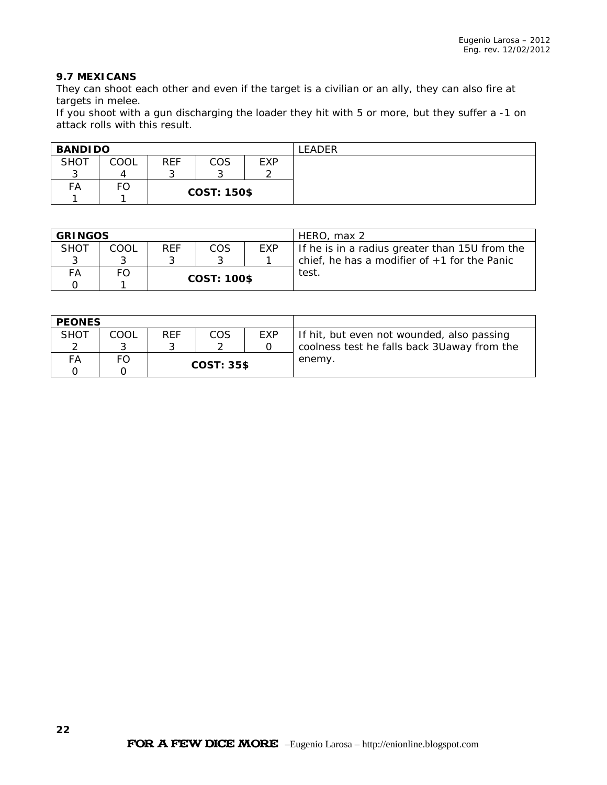### **9.7 MEXICANS**

They can shoot each other and even if the target is a civilian or an ally, they can also fire at targets in melee.

If you shoot with a gun discharging the loader they hit with 5 or more, but they suffer a -1 on attack rolls with this result.

| <b>BANDIDO</b> |      |            |                    |            | .EADER |
|----------------|------|------------|--------------------|------------|--------|
| <b>SHOT</b>    | COOL | <b>REF</b> | COS                | <b>EXP</b> |        |
| ⌒<br>ັ         |      | ັ          | ⌒                  |            |        |
| FA             | FO   |            |                    |            |        |
|                |      |            | <b>COST: 150\$</b> |            |        |

| <b>GRINGOS</b> |      |            |                    |     | HERO, max 2                                    |
|----------------|------|------------|--------------------|-----|------------------------------------------------|
| <b>SHOT</b>    | COOL | <b>REF</b> | COS                | EXP | If he is in a radius greater than 15U from the |
|                |      |            |                    |     | chief, he has a modifier of $+1$ for the Panic |
| FА             |      |            |                    |     | test.                                          |
|                |      |            | <b>COST: 100\$</b> |     |                                                |

| <b>PEONES</b> |      |            |                   |     |                                             |
|---------------|------|------------|-------------------|-----|---------------------------------------------|
| <b>SHOT</b>   | COOL | <b>REF</b> | COS               | EXP | If hit, but even not wounded, also passing  |
|               |      |            |                   |     | coolness test he falls back 3Uaway from the |
| FА            | FO   |            |                   |     | enemy.                                      |
|               |      |            | <b>COST: 35\$</b> |     |                                             |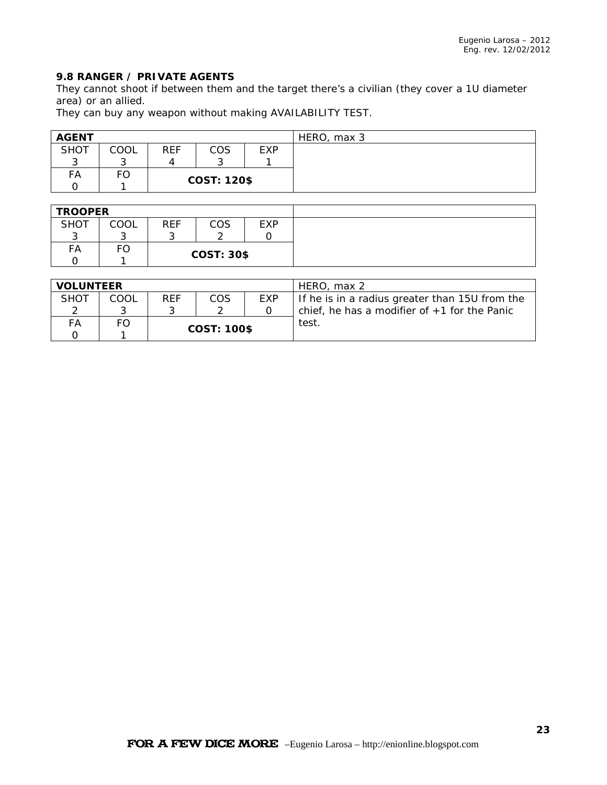### **9.8 RANGER / PRIVATE AGENTS**

They cannot shoot if between them and the target there's a civilian (they cover a 1U diameter area) or an allied.

They can buy any weapon without making AVAILABILITY TEST.

| <b>AGENT</b> |      |            |                    |     | HERO, max 3 |
|--------------|------|------------|--------------------|-----|-------------|
| <b>SHOT</b>  | COOL | <b>REF</b> | COS                | EXP |             |
| ⌒<br>u       | ⌒    |            |                    |     |             |
| FA           | FO   |            |                    |     |             |
|              |      |            | <b>COST: 120\$</b> |     |             |

| <b>TROOPER</b> |      |            |                   |     |  |  |  |
|----------------|------|------------|-------------------|-----|--|--|--|
| <b>SHOT</b>    | COOL | <b>REF</b> | COS               | EXP |  |  |  |
| ⌒<br>w         |      |            |                   |     |  |  |  |
| FA             | г∪   |            |                   |     |  |  |  |
|                |      |            | <b>COST: 30\$</b> |     |  |  |  |

| <b>VOLUNTEER</b> |      |            |                    |     | HERO, max 2                                    |
|------------------|------|------------|--------------------|-----|------------------------------------------------|
| <b>SHOT</b>      | COOL | <b>REF</b> | COS                | EXP | If he is in a radius greater than 15U from the |
|                  |      |            |                    |     | chief, he has a modifier of $+1$ for the Panic |
| FА               | FO.  |            |                    |     | test.                                          |
|                  |      |            | <b>COST: 100\$</b> |     |                                                |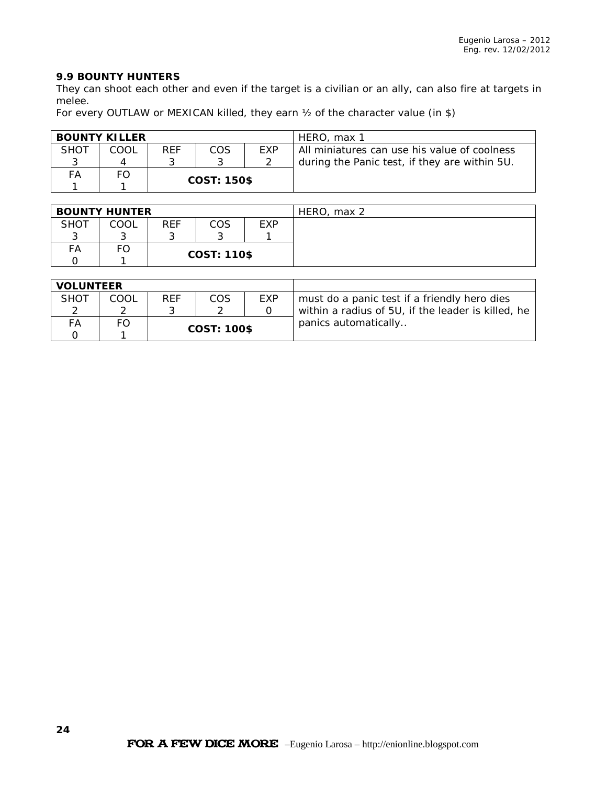### **9.9 BOUNTY HUNTERS**

They can shoot each other and even if the target is a civilian or an ally, can also fire at targets in melee.

For every OUTLAW or MEXICAN killed, they earn  $\frac{1}{2}$  of the character value (in \$)

|             | <b>BOUNTY KILLER</b> |            |                    |            | HERO, max 1                                   |
|-------------|----------------------|------------|--------------------|------------|-----------------------------------------------|
| <b>SHOT</b> | COOL                 | <b>REF</b> | COS                | <b>FXP</b> | All miniatures can use his value of coolness  |
|             |                      |            |                    |            | during the Panic test, if they are within 5U. |
| FA          |                      |            | <b>COST: 150\$</b> |            |                                               |
|             |                      |            |                    |            |                                               |

|             | <b>BOUNTY HUNTER</b> |            |                    |     | HERO, max 2 |
|-------------|----------------------|------------|--------------------|-----|-------------|
| <b>SHOT</b> | COOL                 | <b>REF</b> | COS                | EXP |             |
| ⌒           |                      |            |                    |     |             |
| FА          | ـا -                 |            |                    |     |             |
|             |                      |            | <b>COST: 110\$</b> |     |             |

| <b>VOLUNTEER</b> |      |            |                    |     |                                                    |
|------------------|------|------------|--------------------|-----|----------------------------------------------------|
| SHOT             | COOL | <b>REF</b> | COS                | EXP | must do a panic test if a friendly hero dies       |
|                  |      |            |                    |     | within a radius of 5U, if the leader is killed, he |
| FА               | FΟ   |            |                    |     | panics automatically                               |
|                  |      |            | <b>COST: 100\$</b> |     |                                                    |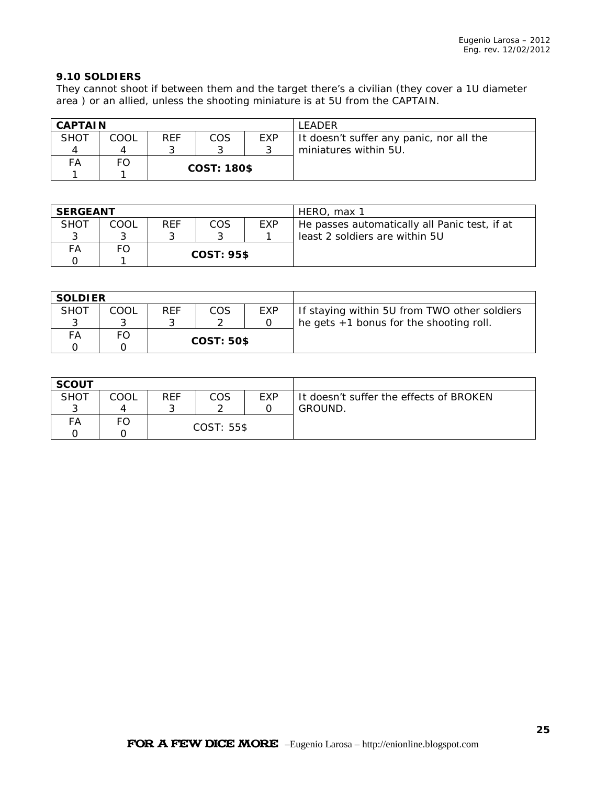### **9.10 SOLDIERS**

They cannot shoot if between them and the target there's a civilian (they cover a 1U diameter area ) or an allied, unless the shooting miniature is at 5U from the CAPTAIN.

| <b>CAPTAIN</b> |      |            |                    |      | <b>I FADFR</b>                           |
|----------------|------|------------|--------------------|------|------------------------------------------|
| <b>SHOT</b>    | COOL | <b>REF</b> | COS                | EXP. | It doesn't suffer any panic, nor all the |
|                |      |            |                    |      | miniatures within 5U.                    |
| FA             | FO   |            |                    |      |                                          |
|                |      |            | <b>COST: 180\$</b> |      |                                          |

| <b>SERGEANT</b> |      |            |                   |            | HERO, max 1                                   |
|-----------------|------|------------|-------------------|------------|-----------------------------------------------|
| <b>SHOT</b>     | COOL | <b>REF</b> | COS               | <b>EXP</b> | He passes automatically all Panic test, if at |
|                 |      |            |                   |            | least 2 soldiers are within 5U                |
| FА              |      |            |                   |            |                                               |
|                 |      |            | <b>COST: 95\$</b> |            |                                               |

| <b>SOLDIER</b> |      |            |                   |     |                                              |
|----------------|------|------------|-------------------|-----|----------------------------------------------|
| <b>SHOT</b>    | COOL | <b>REF</b> | COS               | EXP | If staying within 5U from TWO other soldiers |
|                |      |            |                   |     | he gets $+1$ bonus for the shooting roll.    |
| FА             |      |            |                   |     |                                              |
|                |      |            | <b>COST: 50\$</b> |     |                                              |

| <b>SCOUT</b> |      |            |     |     |                                         |
|--------------|------|------------|-----|-----|-----------------------------------------|
| <b>SHOT</b>  | COOL | REF        | COS | EXP | It doesn't suffer the effects of BROKEN |
|              |      |            |     |     | GROUND.                                 |
| FA           | FO   |            |     |     |                                         |
|              |      | COST: 55\$ |     |     |                                         |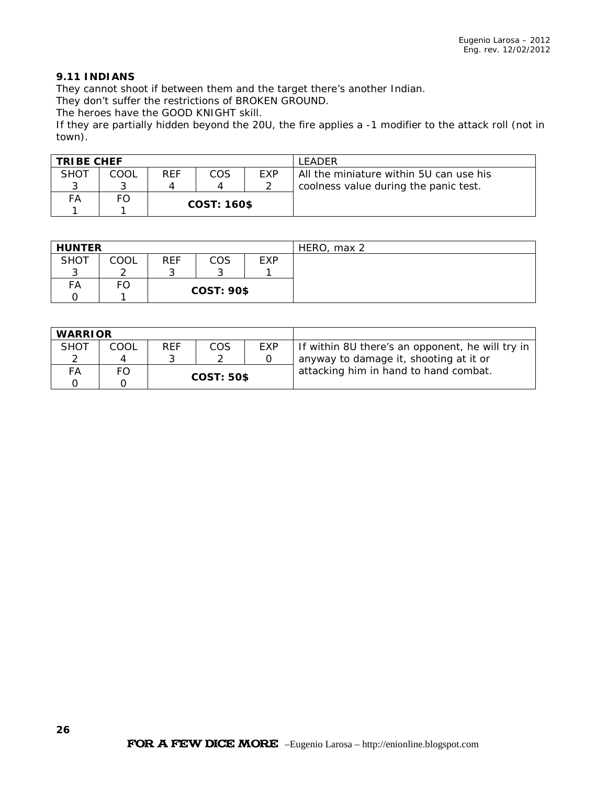### **9.11 INDIANS**

They cannot shoot if between them and the target there's another Indian.

They don't suffer the restrictions of BROKEN GROUND.

The heroes have the GOOD KNIGHT skill.

If they are partially hidden beyond the 20U, the fire applies a -1 modifier to the attack roll (not in town).

| <b>TRIBE CHEF</b> |      |                    |     |            | <b>I FADFR</b>                          |
|-------------------|------|--------------------|-----|------------|-----------------------------------------|
| <b>SHOT</b>       | COOL | <b>RFF</b>         | COS | <b>FXP</b> | All the miniature within 5U can use his |
|                   |      |                    |     |            | coolness value during the panic test.   |
| FA                |      | <b>COST: 160\$</b> |     |            |                                         |
|                   |      |                    |     |            |                                         |

| <b>HUNTER</b> |      |                   |     |            | HERO, max 2 |
|---------------|------|-------------------|-----|------------|-------------|
| <b>SHOT</b>   | COOL | <b>REF</b>        | COS | <b>EXP</b> |             |
|               |      |                   |     |            |             |
| FA            | -0   |                   |     |            |             |
|               |      | <b>COST: 90\$</b> |     |            |             |

| <b>WARRIOR</b> |      |                   |     |     |                                                  |
|----------------|------|-------------------|-----|-----|--------------------------------------------------|
| <b>SHOT</b>    | COOL | <b>REF</b>        | COS | EXP | If within 8U there's an opponent, he will try in |
| ◠              | Λ    |                   |     |     | anyway to damage it, shooting at it or           |
| FА             | FO   | <b>COST: 50\$</b> |     |     | attacking him in hand to hand combat.            |
|                |      |                   |     |     |                                                  |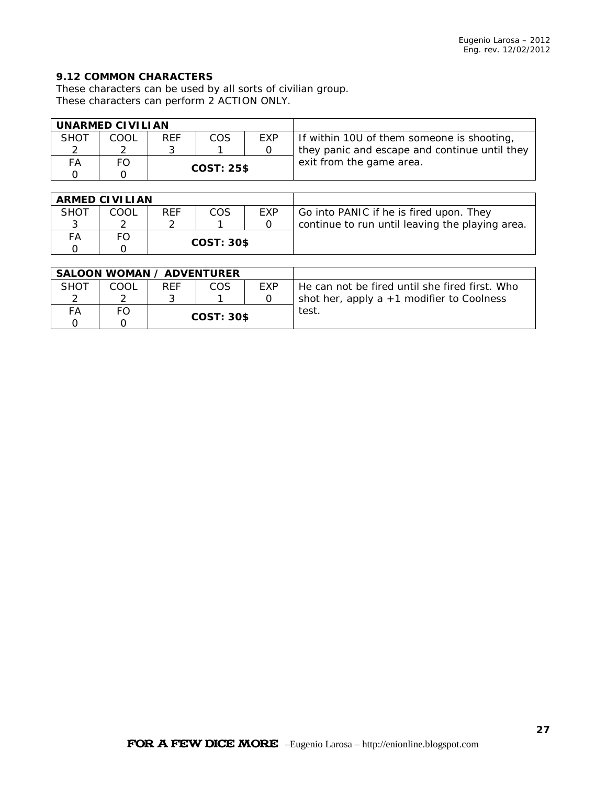### **9.12 COMMON CHARACTERS**

These characters can be used by all sorts of civilian group. These characters can perform 2 ACTION ONLY.

| UNARMED CIVILIAN |      |                   |     |            |                                               |
|------------------|------|-------------------|-----|------------|-----------------------------------------------|
| <b>SHOT</b>      | COOL | <b>RFF</b>        | COS | <b>FXP</b> | If within 10U of them someone is shooting,    |
|                  |      |                   |     |            | they panic and escape and continue until they |
| FА               | FΟ   | <b>COST: 25\$</b> |     |            | exit from the game area.                      |
|                  |      |                   |     |            |                                               |

| <b>ARMED CIVILIAN</b> |      |                   |     |            |                                                 |
|-----------------------|------|-------------------|-----|------------|-------------------------------------------------|
| <b>SHOT</b>           | COOL | <b>REF</b>        | COS | <b>EXP</b> | Go into PANIC if he is fired upon. They         |
|                       |      |                   |     |            | continue to run until leaving the playing area. |
| FA                    | FO   |                   |     |            |                                                 |
|                       |      | <b>COST: 30\$</b> |     |            |                                                 |

| <b>SALOON WOMAN / ADVENTURER</b> |      |                   |     |            |                                                |
|----------------------------------|------|-------------------|-----|------------|------------------------------------------------|
| SHOT                             | COOL | <b>RFF</b>        | COS | <b>FXP</b> | He can not be fired until she fired first. Who |
|                                  |      |                   |     |            | shot her, apply a $+1$ modifier to Coolness    |
| FА                               |      | <b>COST: 30\$</b> |     |            | test                                           |
|                                  |      |                   |     |            |                                                |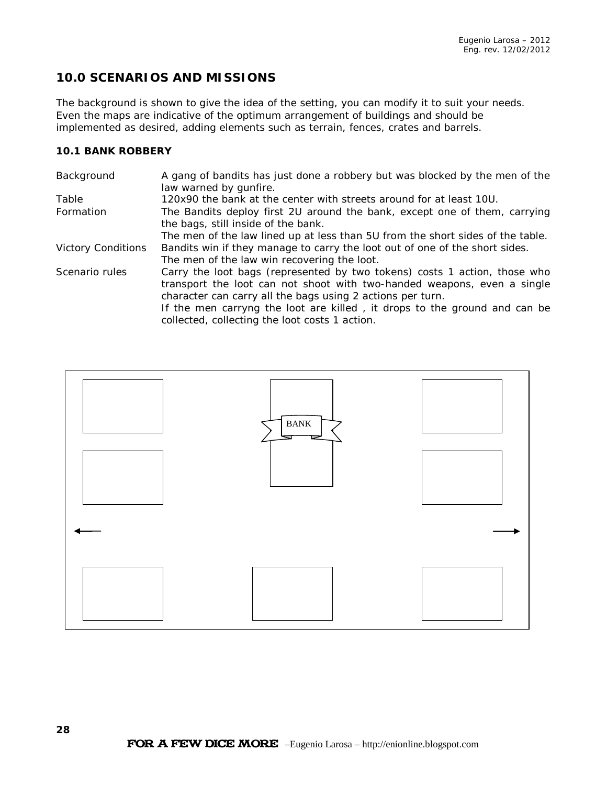# **10.0 SCENARIOS AND MISSIONS**

The background is shown to give the idea of the setting, you can modify it to suit your needs. Even the maps are indicative of the optimum arrangement of buildings and should be implemented as desired, adding elements such as terrain, fences, crates and barrels.

### **10.1 BANK ROBBERY**

| Background                | A gang of bandits has just done a robbery but was blocked by the men of the<br>law warned by gunfire.                                                                                                                                                                                                                                             |
|---------------------------|---------------------------------------------------------------------------------------------------------------------------------------------------------------------------------------------------------------------------------------------------------------------------------------------------------------------------------------------------|
| Table                     | 120x90 the bank at the center with streets around for at least 10U.                                                                                                                                                                                                                                                                               |
| Formation                 | The Bandits deploy first 2U around the bank, except one of them, carrying<br>the bags, still inside of the bank.                                                                                                                                                                                                                                  |
|                           | The men of the law lined up at less than 5U from the short sides of the table.                                                                                                                                                                                                                                                                    |
| <b>Victory Conditions</b> | Bandits win if they manage to carry the loot out of one of the short sides.                                                                                                                                                                                                                                                                       |
|                           | The men of the law win recovering the loot.                                                                                                                                                                                                                                                                                                       |
| Scenario rules            | Carry the loot bags (represented by two tokens) costs 1 action, those who<br>transport the loot can not shoot with two-handed weapons, even a single<br>character can carry all the bags using 2 actions per turn.<br>If the men carryng the loot are killed, it drops to the ground and can be<br>collected, collecting the loot costs 1 action. |

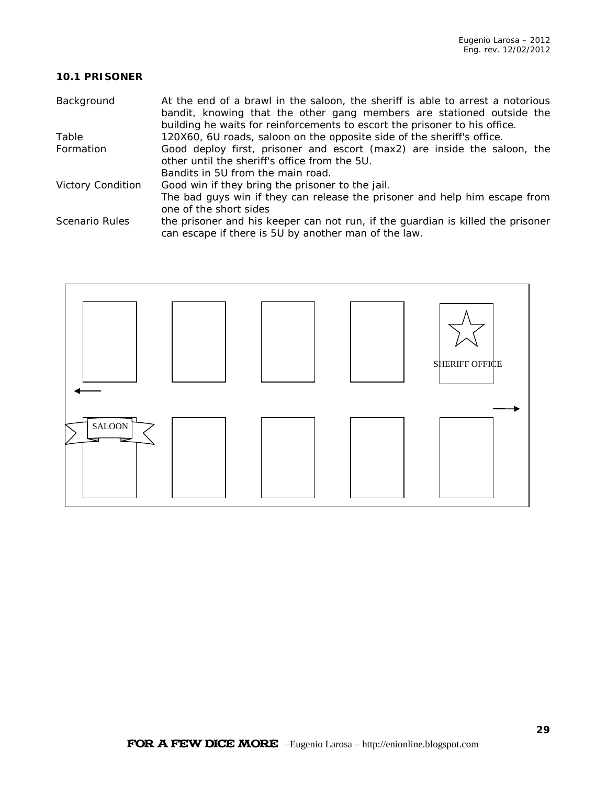### **10.1 PRISONER**

| Background               | At the end of a brawl in the saloon, the sheriff is able to arrest a notorious<br>bandit, knowing that the other gang members are stationed outside the<br>building he waits for reinforcements to escort the prisoner to his office. |
|--------------------------|---------------------------------------------------------------------------------------------------------------------------------------------------------------------------------------------------------------------------------------|
| Table                    | 120X60, 6U roads, saloon on the opposite side of the sheriff's office.                                                                                                                                                                |
| Formation                | Good deploy first, prisoner and escort (max2) are inside the saloon, the                                                                                                                                                              |
|                          | other until the sheriff's office from the 5U.                                                                                                                                                                                         |
|                          | Bandits in 5U from the main road.                                                                                                                                                                                                     |
| <b>Victory Condition</b> | Good win if they bring the prisoner to the jail.                                                                                                                                                                                      |
|                          | The bad guys win if they can release the prisoner and help him escape from                                                                                                                                                            |
|                          | one of the short sides                                                                                                                                                                                                                |
| Scenario Rules           | the prisoner and his keeper can not run, if the guardian is killed the prisoner<br>can escape if there is 5U by another man of the law.                                                                                               |

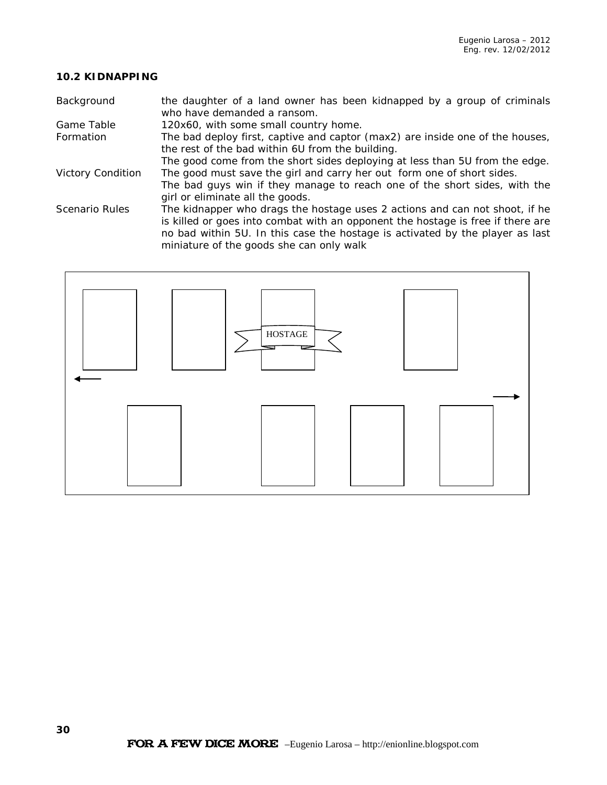### **10.2 KIDNAPPING**

| Background               | the daughter of a land owner has been kidnapped by a group of criminals<br>who have demanded a ransom.                    |
|--------------------------|---------------------------------------------------------------------------------------------------------------------------|
| Game Table               | 120x60, with some small country home.                                                                                     |
| Formation                | The bad deploy first, captive and captor (max2) are inside one of the houses,                                             |
|                          | the rest of the bad within 6U from the building.                                                                          |
|                          | The good come from the short sides deploying at less than 5U from the edge.                                               |
| <b>Victory Condition</b> | The good must save the girl and carry her out form one of short sides.                                                    |
|                          | The bad guys win if they manage to reach one of the short sides, with the                                                 |
|                          | girl or eliminate all the goods.                                                                                          |
| <b>Scenario Rules</b>    | The kidnapper who drags the hostage uses 2 actions and can not shoot, if he                                               |
|                          | is killed or goes into combat with an opponent the hostage is free if there are                                           |
|                          | no bad within 5U. In this case the hostage is activated by the player as last<br>miniature of the goods she can only walk |
|                          |                                                                                                                           |

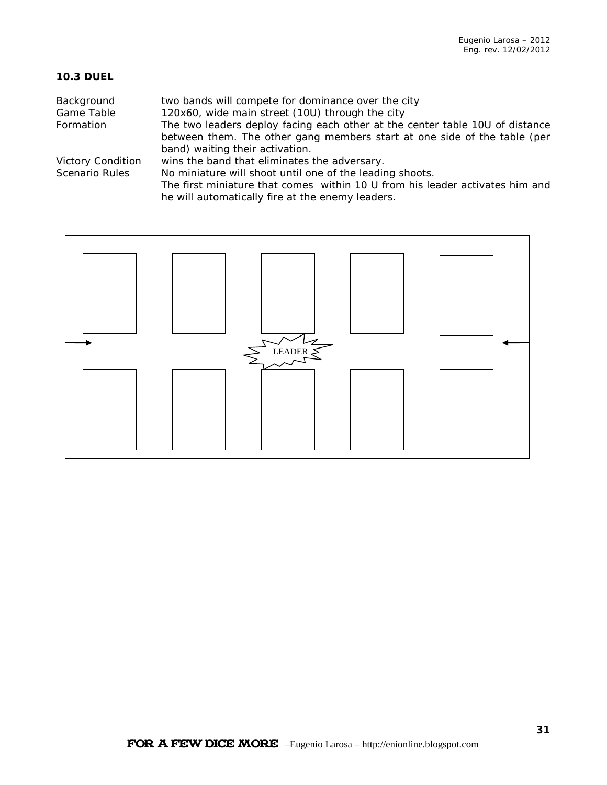### **10.3 DUEL**

| Background<br>Game Table | two bands will compete for dominance over the city<br>120x60, wide main street (10U) through the city |
|--------------------------|-------------------------------------------------------------------------------------------------------|
|                          |                                                                                                       |
| Formation                | The two leaders deploy facing each other at the center table 10U of distance                          |
|                          | between them. The other gang members start at one side of the table (per                              |
|                          | band) waiting their activation.                                                                       |
| <b>Victory Condition</b> | wins the band that eliminates the adversary.                                                          |
| Scenario Rules           | No miniature will shoot until one of the leading shoots.                                              |
|                          | The first miniature that comes within 10 U from his leader activates him and                          |
|                          | he will automatically fire at the enemy leaders.                                                      |

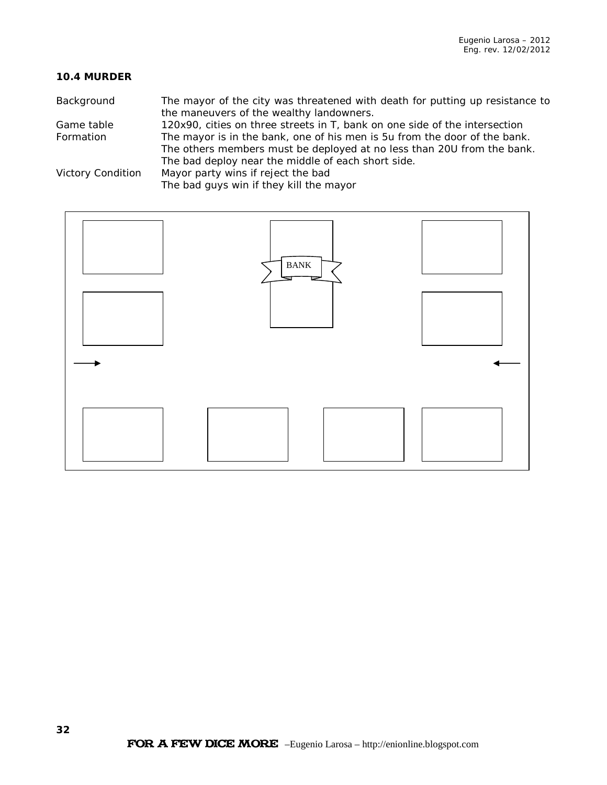### **10.4 MURDER**

| Background               | The mayor of the city was threatened with death for putting up resistance to |
|--------------------------|------------------------------------------------------------------------------|
|                          | the maneuvers of the wealthy landowners.                                     |
| Game table               | 120x90, cities on three streets in T, bank on one side of the intersection   |
| Formation                | The mayor is in the bank, one of his men is 5u from the door of the bank.    |
|                          | The others members must be deployed at no less than 20U from the bank.       |
|                          | The bad deploy near the middle of each short side.                           |
| <b>Victory Condition</b> | Mayor party wins if reject the bad                                           |
|                          | The bad guys win if they kill the mayor                                      |
|                          |                                                                              |

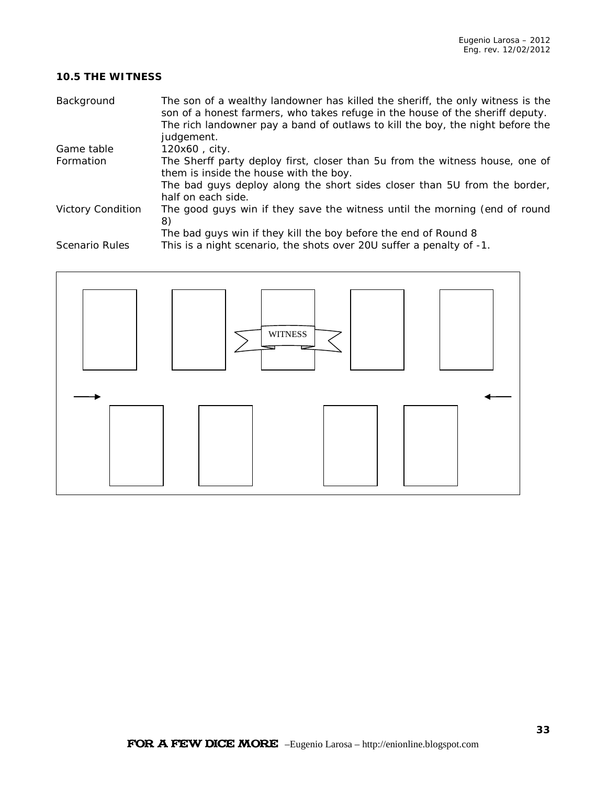### **10.5 THE WITNESS**

| Background               | The son of a wealthy landowner has killed the sheriff, the only witness is the<br>son of a honest farmers, who takes refuge in the house of the sheriff deputy.<br>The rich landowner pay a band of outlaws to kill the boy, the night before the<br>judgement. |
|--------------------------|-----------------------------------------------------------------------------------------------------------------------------------------------------------------------------------------------------------------------------------------------------------------|
| Game table               | 120x60, city.                                                                                                                                                                                                                                                   |
| Formation                | The Sherff party deploy first, closer than 5u from the witness house, one of<br>them is inside the house with the boy.                                                                                                                                          |
|                          | The bad guys deploy along the short sides closer than 5U from the border,<br>half on each side.                                                                                                                                                                 |
| <b>Victory Condition</b> | The good guys win if they save the witness until the morning (end of round<br>8)                                                                                                                                                                                |
| <b>Scenario Rules</b>    | The bad guys win if they kill the boy before the end of Round 8<br>This is a night scenario, the shots over 20U suffer a penalty of -1.                                                                                                                         |
|                          |                                                                                                                                                                                                                                                                 |

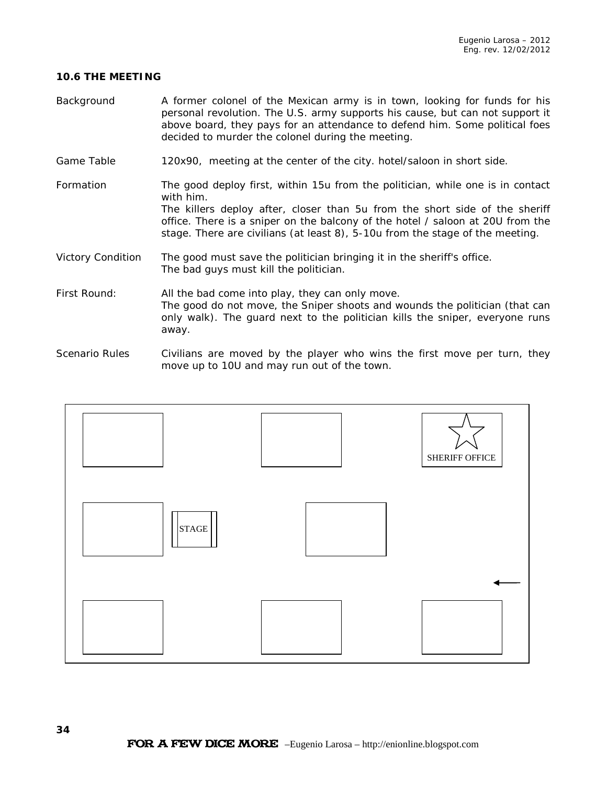#### **10.6 THE MEETING**

- Background A former colonel of the Mexican army is in town, looking for funds for his personal revolution. The U.S. army supports his cause, but can not support it above board, they pays for an attendance to defend him. Some political foes decided to murder the colonel during the meeting.
- Game Table 120x90, meeting at the center of the city. hotel/saloon in short side.
- Formation The good deploy first, within 15u from the politician, while one is in contact with him. The killers deploy after, closer than 5u from the short side of the sheriff office. There is a sniper on the balcony of the hotel / saloon at 20U from the stage. There are civilians (at least 8), 5-10u from the stage of the meeting.
- Victory Condition The good must save the politician bringing it in the sheriff's office. The bad guys must kill the politician.
- First Round: All the bad come into play, they can only move. The good do not move, the Sniper shoots and wounds the politician (that can only walk). The guard next to the politician kills the sniper, everyone runs away.
- Scenario Rules Civilians are moved by the player who wins the first move per turn, they move up to 10U and may run out of the town.

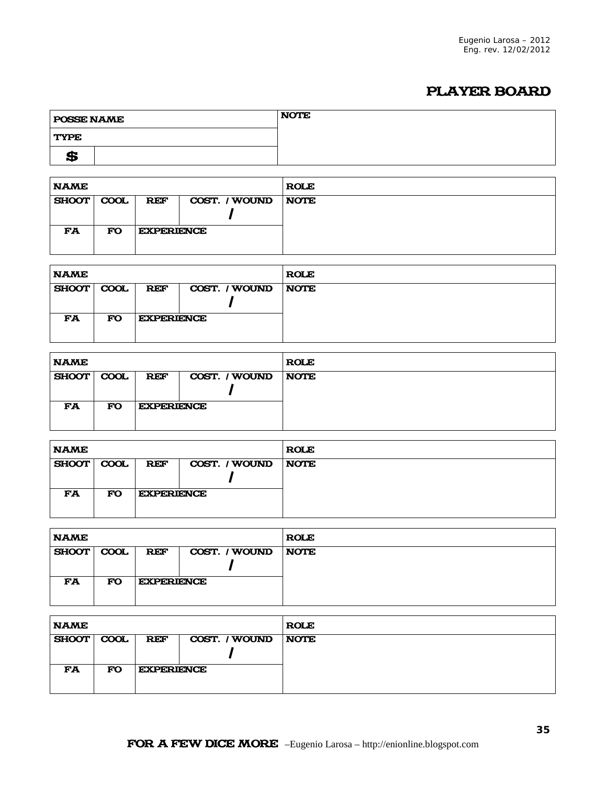# PLAYER BOARD

| <b>POSSE NAME</b> | <b>NOTE</b> |
|-------------------|-------------|
| <b>TYPE</b>       |             |
| œ<br>≖            |             |

| <b>NAME</b> |             |                   |               | <b>ROLE</b> |
|-------------|-------------|-------------------|---------------|-------------|
| SHOOT       | <b>COOL</b> | <b>REF</b>        | COST. / WOUND | <b>NOTE</b> |
| FA          | <b>FO</b>   | <b>EXPERIENCE</b> |               |             |

| <b>NAME</b>  |             |                   |               | <b>ROLE</b> |
|--------------|-------------|-------------------|---------------|-------------|
| <b>SHOOT</b> | <b>COOL</b> | <b>REF</b>        | COST. / WOUND | <b>NOTE</b> |
| FA           | <b>FO</b>   | <b>EXPERIENCE</b> |               |             |

| <b>NAME</b> |             |                   |               | <b>ROLE</b> |
|-------------|-------------|-------------------|---------------|-------------|
| SHOOT       | <b>COOL</b> | <b>REF</b>        | COST. / WOUND | <b>NOTE</b> |
|             |             |                   |               |             |
| <b>FA</b>   | <b>FO</b>   | <b>EXPERIENCE</b> |               |             |
|             |             |                   |               |             |

| <b>NAME</b> |           |                   |               | <b>ROLE</b> |
|-------------|-----------|-------------------|---------------|-------------|
| SHOOT COOL  |           | <b>REF</b>        | COST. / WOUND | <b>NOTE</b> |
|             |           |                   |               |             |
| <b>FA</b>   | <b>FO</b> | <b>EXPERIENCE</b> |               |             |
|             |           |                   |               |             |

| <b>NAME</b>  |             |                   |               | <b>ROLE</b> |
|--------------|-------------|-------------------|---------------|-------------|
| <b>SHOOT</b> | <b>COOL</b> | <b>REF</b>        | COST. / WOUND | <b>NOTE</b> |
| <b>FA</b>    | FO          | <b>EXPERIENCE</b> |               |             |

| <b>NAME</b> |           |                   |               | <b>ROLE</b> |
|-------------|-----------|-------------------|---------------|-------------|
| SHOOT COOL  |           | <b>REF</b>        | COST. / WOUND | <b>NOTE</b> |
|             |           |                   |               |             |
| <b>FA</b>   | <b>FO</b> | <b>EXPERIENCE</b> |               |             |
|             |           |                   |               |             |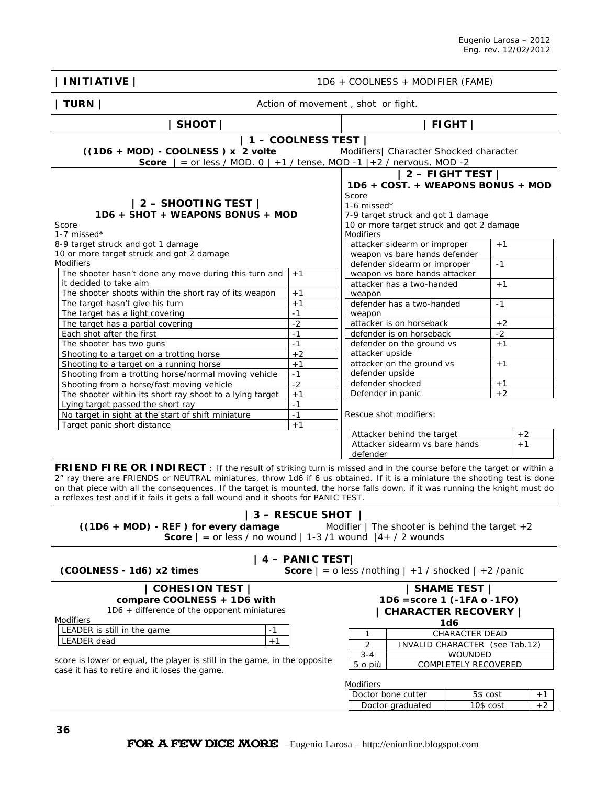| <b>INITIATIVE</b>                                                                                                                                                                                                                                                                                                                                                                                                                                                              |                                                                                                                             |                                                                                                                                                  | 1D6 + COOLNESS + MODIFIER (FAME)                                          |           |              |      |
|--------------------------------------------------------------------------------------------------------------------------------------------------------------------------------------------------------------------------------------------------------------------------------------------------------------------------------------------------------------------------------------------------------------------------------------------------------------------------------|-----------------------------------------------------------------------------------------------------------------------------|--------------------------------------------------------------------------------------------------------------------------------------------------|---------------------------------------------------------------------------|-----------|--------------|------|
| <b>TURN</b>                                                                                                                                                                                                                                                                                                                                                                                                                                                                    | Action of movement, shot or fight.                                                                                          |                                                                                                                                                  |                                                                           |           |              |      |
| SHOOT                                                                                                                                                                                                                                                                                                                                                                                                                                                                          |                                                                                                                             |                                                                                                                                                  |                                                                           | FIGHT     |              |      |
| $((1D6 + MOD) - COOLNESS)$ x 2 volte<br><b>Score</b> $ $ = or less / MOD. 0 $ $ +1 / tense, MOD -1 $ $ +2 / nervous, MOD -2                                                                                                                                                                                                                                                                                                                                                    | $1 -$ COOLNESS TEST                                                                                                         |                                                                                                                                                  | Modifiers  Character Shocked character                                    |           |              |      |
| $ 2 -$ SHOOTING TEST $ $<br>1D6 + SHOT + WEAPONS BONUS + MOD                                                                                                                                                                                                                                                                                                                                                                                                                   | $ 2 -$ FIGHT TEST $ $<br>1D6 + COST. + WEAPONS BONUS + MOD<br>Score<br>1-6 missed $*$<br>7-9 target struck and got 1 damage |                                                                                                                                                  |                                                                           |           |              |      |
| Score<br>1-7 missed $*$<br>8-9 target struck and got 1 damage                                                                                                                                                                                                                                                                                                                                                                                                                  |                                                                                                                             | <b>Modifiers</b>                                                                                                                                 | 10 or more target struck and got 2 damage<br>attacker sidearm or improper |           | $+1$         |      |
| 10 or more target struck and got 2 damage<br>Modifiers                                                                                                                                                                                                                                                                                                                                                                                                                         |                                                                                                                             |                                                                                                                                                  | weapon vs bare hands defender<br>defender sidearm or improper             |           | $-1$         |      |
| The shooter hasn't done any move during this turn and<br>it decided to take aim<br>The shooter shoots within the short ray of its weapon                                                                                                                                                                                                                                                                                                                                       | $+1$<br>$+1$                                                                                                                |                                                                                                                                                  | weapon vs bare hands attacker<br>attacker has a two-handed                |           | $+1$         |      |
| The target hasn't give his turn<br>The target has a light covering                                                                                                                                                                                                                                                                                                                                                                                                             | $+1$<br>$-1$                                                                                                                | weapon<br>weapon                                                                                                                                 | defender has a two-handed                                                 |           | $-1$         |      |
| The target has a partial covering<br>Each shot after the first<br>The shooter has two guns                                                                                                                                                                                                                                                                                                                                                                                     | $-2$<br>$-1$<br>$-1$                                                                                                        |                                                                                                                                                  | attacker is on horseback<br>defender is on horseback                      |           | $+2$<br>$-2$ |      |
| Shooting to a target on a trotting horse<br>Shooting to a target on a running horse                                                                                                                                                                                                                                                                                                                                                                                            | $+2$<br>$+1$                                                                                                                | defender on the ground vs<br>$+1$<br>attacker upside<br>attacker on the ground vs<br>$+1$<br>defender upside<br>defender shocked<br>$+1$<br>$+2$ |                                                                           |           |              |      |
| Shooting from a trotting horse/normal moving vehicle<br>Shooting from a horse/fast moving vehicle<br>The shooter within its short ray shoot to a lying target                                                                                                                                                                                                                                                                                                                  | $-1$<br>$-2$<br>$+1$                                                                                                        |                                                                                                                                                  |                                                                           |           |              |      |
| Lying target passed the short ray<br>No target in sight at the start of shift miniature                                                                                                                                                                                                                                                                                                                                                                                        | Defender in panic<br>$-1$<br>$-1$<br>Rescue shot modifiers:                                                                 |                                                                                                                                                  |                                                                           |           |              |      |
| Target panic short distance                                                                                                                                                                                                                                                                                                                                                                                                                                                    | $+1$                                                                                                                        | Attacker behind the target<br>$+2$<br>Attacker sidearm vs bare hands<br>$+1$<br>defender                                                         |                                                                           |           |              |      |
| <b>FRIEND FIRE OR INDIRECT</b> : If the result of striking turn is missed and in the course before the target or within a<br>2" ray there are FRIENDS or NEUTRAL miniatures, throw 1d6 if 6 us obtained. If it is a miniature the shooting test is done<br>on that piece with all the consequences. If the target is mounted, the horse falls down, if it was running the knight must do<br>a reflexes test and if it fails it gets a fall wound and it shoots for PANIC TEST. |                                                                                                                             |                                                                                                                                                  |                                                                           |           |              |      |
| $((1D6 + MOD) - REF)$ for every damage<br><b>Score</b> $\vert$ = or less / no wound $\vert$ 1-3 /1 wound $\vert$ 4+ / 2 wounds                                                                                                                                                                                                                                                                                                                                                 | 3 - RESCUE SHOT                                                                                                             |                                                                                                                                                  | Modifier $ $ The shooter is behind the target $+2$                        |           |              |      |
| (COOLNESS - 1d6) x2 times                                                                                                                                                                                                                                                                                                                                                                                                                                                      | $ $ 4 – PANIC TEST                                                                                                          |                                                                                                                                                  | <b>Score</b> $  = 0$ less /nothing $  +1$ / shocked $  +2$ /panic         |           |              |      |
| COHESION TEST  <br>compare COOLNESS + 1D6 with<br>1D6 + difference of the opponent miniatures<br>Modifiers                                                                                                                                                                                                                                                                                                                                                                     | <b>SHAME TEST  </b><br>1D6 = score 1 (-1FA o -1FO)<br>  CHARACTER RECOVERY  <br><b>1d6</b>                                  |                                                                                                                                                  |                                                                           |           |              |      |
| LEADER is still in the game<br>-1<br>$+1$<br><b>LEADER</b> dead<br>score is lower or equal, the player is still in the game, in the opposite                                                                                                                                                                                                                                                                                                                                   |                                                                                                                             | CHARACTER DEAD<br>1<br>$\overline{2}$<br>INVALID CHARACTER (see Tab.12)<br>WOUNDED<br>$3 - 4$<br>COMPLETELY RECOVERED<br>5 o più                 |                                                                           |           |              |      |
| case it has to retire and it loses the game.                                                                                                                                                                                                                                                                                                                                                                                                                                   |                                                                                                                             | Modifiers                                                                                                                                        | Doctor bone cutter                                                        | 5\$ cost  |              | $+1$ |
|                                                                                                                                                                                                                                                                                                                                                                                                                                                                                |                                                                                                                             |                                                                                                                                                  | Doctor graduated                                                          | 10\$ cost |              | $+2$ |
| 36<br>EOD X EEW DIGE XXODE                                                                                                                                                                                                                                                                                                                                                                                                                                                     |                                                                                                                             |                                                                                                                                                  |                                                                           |           |              |      |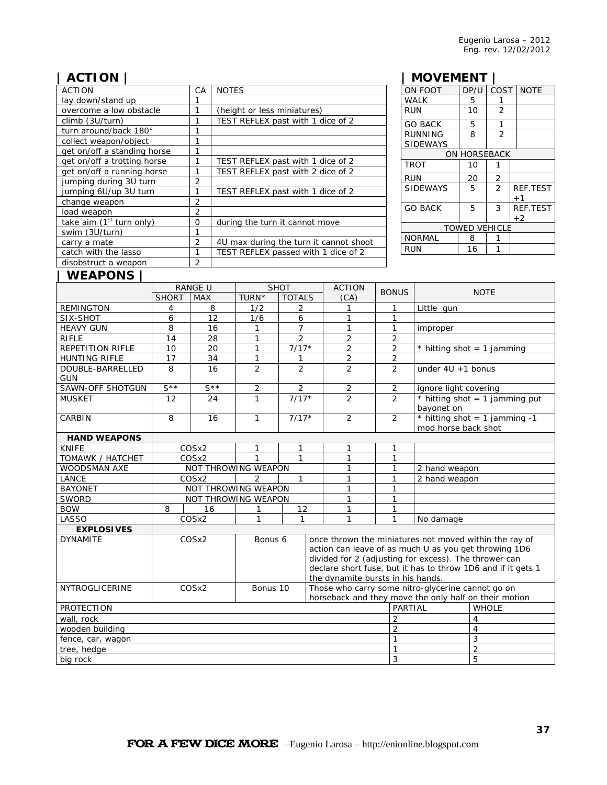# **| ACTION |**

| <b>ACTION</b>               | СA             | <b>NOTES</b>                           |
|-----------------------------|----------------|----------------------------------------|
| lay down/stand up           | 1              |                                        |
| overcome a low obstacle     | 1              | (height or less miniatures)            |
| climb (3U/turn)             | 1              | TEST REFLEX past with 1 dice of 2      |
| turn around/back 180°       | 1              |                                        |
| collect weapon/object       | 1              |                                        |
| get on/off a standing horse | 1              |                                        |
| get on/off a trotting horse |                | TEST REFLEX past with 1 dice of 2      |
| get on/off a running horse  | 1              | TEST REFLEX past with 2 dice of 2      |
| jumping during 3U turn      | 2              |                                        |
| jumping 6U/up 3U turn       | 1              | TEST REFLEX past with 1 dice of 2      |
| change weapon               | $\overline{2}$ |                                        |
| load weapon                 | $\overline{2}$ |                                        |
| take aim $(1st$ turn only)  | $\Omega$       | during the turn it cannot move         |
| swim (3U/turn)              | 1              |                                        |
| carry a mate                | $\overline{2}$ | 4U max during the turn it cannot shoot |
| catch with the lasso        | 1              | TEST REFLEX passed with 1 dice of 2    |
| disobstruct a weapon        | $\overline{2}$ |                                        |

# **| MOVEMENT |**

| ON FOOT                    | DP/U         | COST           | <b>NOTE</b>             |  |  |  |
|----------------------------|--------------|----------------|-------------------------|--|--|--|
| <b>WALK</b>                | 5            | 1              |                         |  |  |  |
| <b>RUN</b>                 | 10           | 2              |                         |  |  |  |
| <b>GO BACK</b>             | 5            | 1              |                         |  |  |  |
| RUNNING<br><b>SIDEWAYS</b> | 8            | $\overline{2}$ |                         |  |  |  |
|                            | ON HORSEBACK |                |                         |  |  |  |
| <b>TROT</b>                | 10           |                |                         |  |  |  |
| RUN                        | 20           | 2              |                         |  |  |  |
| <b>SIDEWAYS</b>            | 5            | $\overline{2}$ | <b>REF.TEST</b><br>$+1$ |  |  |  |
| <b>GO BACK</b>             | 5            | 3              | <b>REF.TEST</b><br>$+2$ |  |  |  |
| <b>TOWED VEHICLE</b>       |              |                |                         |  |  |  |
| <b>NORMAL</b>              | 8            |                |                         |  |  |  |
| RUN                        | 16           |                |                         |  |  |  |

# **| WEAPONS |**

|                                | <b>RANGE U</b><br><b>SHOT</b>                                                                                                   |                     | <b>ACTION</b>              | <b>BONUS</b>   | <b>NOTE</b>                                                                                                                                                                                                                                                                   |                |                |                       |                                                      |  |  |
|--------------------------------|---------------------------------------------------------------------------------------------------------------------------------|---------------------|----------------------------|----------------|-------------------------------------------------------------------------------------------------------------------------------------------------------------------------------------------------------------------------------------------------------------------------------|----------------|----------------|-----------------------|------------------------------------------------------|--|--|
|                                | <b>SHORT</b>                                                                                                                    | <b>MAX</b>          | TURN*                      | <b>TOTALS</b>  |                                                                                                                                                                                                                                                                               | (CA)           |                |                       |                                                      |  |  |
| <b>REMINGTON</b>               | 4                                                                                                                               | 8                   | 1/2                        | 2              |                                                                                                                                                                                                                                                                               |                | $\mathbf{1}$   | Little gun            |                                                      |  |  |
| SIX-SHOT                       | 6                                                                                                                               | 12                  | 1/6                        | 6              |                                                                                                                                                                                                                                                                               | 1              | $\mathbf{1}$   |                       |                                                      |  |  |
| <b>HEAVY GUN</b>               | 8                                                                                                                               | 16                  | 1                          | $\overline{7}$ |                                                                                                                                                                                                                                                                               | $\mathbf{1}$   | $\mathbf{1}$   | improper              |                                                      |  |  |
| <b>RIFLE</b>                   | 14                                                                                                                              | 28                  | $\mathbf{1}$               | $\overline{2}$ |                                                                                                                                                                                                                                                                               | $\overline{2}$ | $\overline{2}$ |                       |                                                      |  |  |
| <b>REPETITION RIFLE</b>        | 10                                                                                                                              | 20                  | $\mathbf{1}$               | $7/17*$        |                                                                                                                                                                                                                                                                               | $\overline{2}$ | $\overline{2}$ |                       | $*$ hitting shot = 1 jamming                         |  |  |
| <b>HUNTING RIFLE</b>           | 17                                                                                                                              | 34                  | $\mathbf{1}$               | 1              |                                                                                                                                                                                                                                                                               | $\overline{2}$ | $\overline{2}$ |                       |                                                      |  |  |
| DOUBLE-BARRELLED<br><b>GUN</b> | 8                                                                                                                               | 16                  | 2                          | $\overline{2}$ |                                                                                                                                                                                                                                                                               | $\overline{2}$ | $\mathcal{P}$  | under $4U + 1$ bonus  |                                                      |  |  |
| SAWN-OFF SHOTGUN               | $S^{\star\star}$                                                                                                                | $S^{\star\star}$    | $\overline{2}$             | $\overline{2}$ |                                                                                                                                                                                                                                                                               | $\overline{2}$ | 2              | ignore light covering |                                                      |  |  |
| <b>MUSKET</b>                  | 12                                                                                                                              | 24                  | $\mathbf{1}$               | $7/17*$        |                                                                                                                                                                                                                                                                               | $\overline{2}$ | 2              | bayonet on            | $*$ hitting shot = 1 jamming put                     |  |  |
| CARBIN                         | 8                                                                                                                               | 16                  | $\mathbf{1}$               | $7/17*$        |                                                                                                                                                                                                                                                                               | $\overline{2}$ | $\overline{2}$ |                       | * hitting shot = 1 jamming -1<br>mod horse back shot |  |  |
| <b>HAND WEAPONS</b>            |                                                                                                                                 |                     |                            |                |                                                                                                                                                                                                                                                                               |                |                |                       |                                                      |  |  |
| <b>KNIFE</b>                   |                                                                                                                                 | COSx2               | 1                          | 1              |                                                                                                                                                                                                                                                                               | 1              | $\mathbf{1}$   |                       |                                                      |  |  |
| TOMAWK / HATCHET               |                                                                                                                                 | COSx2               | $\mathbf{1}$               | $\mathbf{1}$   |                                                                                                                                                                                                                                                                               | 1              | $\mathbf{1}$   |                       |                                                      |  |  |
| <b>WOODSMAN AXE</b>            |                                                                                                                                 |                     | <b>NOT THROWING WEAPON</b> |                |                                                                                                                                                                                                                                                                               | 1              | $\mathbf{1}$   | 2 hand weapon         |                                                      |  |  |
| LANCE                          | COSx2                                                                                                                           |                     | 2<br>1                     |                | 1                                                                                                                                                                                                                                                                             | $\mathbf{1}$   | 2 hand weapon  |                       |                                                      |  |  |
| <b>BAYONET</b>                 |                                                                                                                                 | NOT THROWING WEAPON |                            |                |                                                                                                                                                                                                                                                                               | 1              | $\mathbf{1}$   |                       |                                                      |  |  |
| SWORD                          |                                                                                                                                 | NOT THROWING WEAPON |                            |                |                                                                                                                                                                                                                                                                               | 1              | $\mathbf{1}$   |                       |                                                      |  |  |
| <b>BOW</b>                     | 8                                                                                                                               | 16                  | 1                          | 12             |                                                                                                                                                                                                                                                                               | 1              | $\mathbf{1}$   |                       |                                                      |  |  |
| LASSO                          |                                                                                                                                 | COSx2               | 1                          | 1              |                                                                                                                                                                                                                                                                               | 1              | 1              | No damage             |                                                      |  |  |
| <b>EXPLOSIVES</b>              |                                                                                                                                 |                     |                            |                |                                                                                                                                                                                                                                                                               |                |                |                       |                                                      |  |  |
| <b>DYNAMITE</b>                |                                                                                                                                 | COSx2               | Bonus 6                    |                | once thrown the miniatures not moved within the ray of<br>action can leave of as much U as you get throwing 1D6<br>divided for 2 (adjusting for excess). The thrower can<br>declare short fuse, but it has to throw 1D6 and if it gets 1<br>the dynamite bursts in his hands. |                |                |                       |                                                      |  |  |
| <b>NYTROGLICERINE</b>          | Those who carry some nitro-glycerine cannot go on<br>COSx2<br>Bonus 10<br>horseback and they move the only half on their motion |                     |                            |                |                                                                                                                                                                                                                                                                               |                |                |                       |                                                      |  |  |
| <b>PROTECTION</b>              |                                                                                                                                 |                     |                            |                |                                                                                                                                                                                                                                                                               |                | PARTIAL        |                       | <b>WHOLE</b>                                         |  |  |
| wall, rock                     |                                                                                                                                 |                     |                            |                |                                                                                                                                                                                                                                                                               |                | $\overline{2}$ |                       | 4                                                    |  |  |
| wooden building                |                                                                                                                                 |                     |                            |                |                                                                                                                                                                                                                                                                               |                | $\overline{2}$ |                       | $\overline{4}$                                       |  |  |
| fence, car, wagon              |                                                                                                                                 |                     |                            |                |                                                                                                                                                                                                                                                                               |                | 1              |                       | 3                                                    |  |  |
| tree, hedge                    |                                                                                                                                 |                     |                            |                |                                                                                                                                                                                                                                                                               |                |                |                       | $\overline{2}$                                       |  |  |
| big rock                       |                                                                                                                                 |                     |                            |                |                                                                                                                                                                                                                                                                               |                | 3              |                       | 5                                                    |  |  |